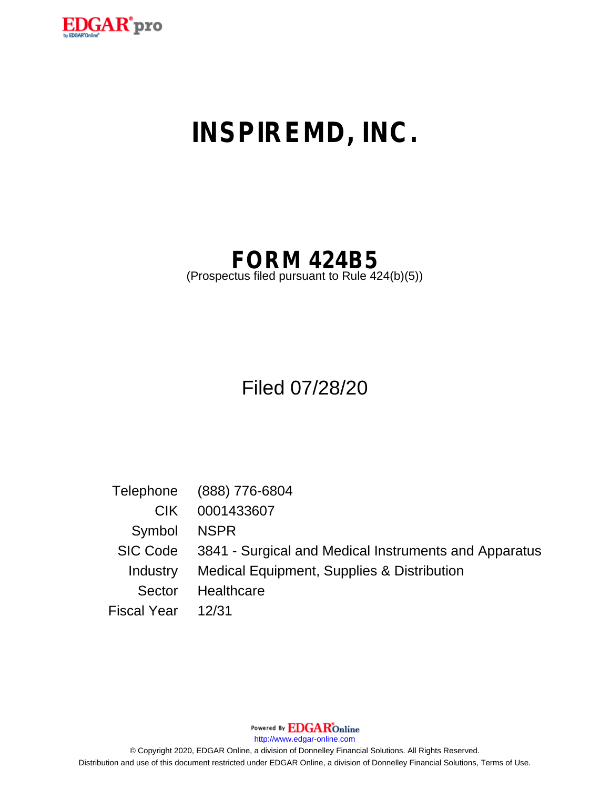

# **INSPIREMD, INC.**

# **FORM 424B5**

(Prospectus filed pursuant to Rule 424(b)(5))

# Filed 07/28/20

|                 | Telephone (888) 776-6804                              |
|-----------------|-------------------------------------------------------|
| CIK.            | 0001433607                                            |
| Symbol          | <b>NSPR</b>                                           |
| SIC Code        | 3841 - Surgical and Medical Instruments and Apparatus |
| <b>Industry</b> | Medical Equipment, Supplies & Distribution            |
| Sector          | Healthcare                                            |
| Fiscal Year     | 12/31                                                 |

Powered By EDGAROnline

http://www.edgar-online.com

© Copyright 2020, EDGAR Online, a division of Donnelley Financial Solutions. All Rights Reserved. Distribution and use of this document restricted under EDGAR Online, a division of Donnelley Financial Solutions, Terms of Use.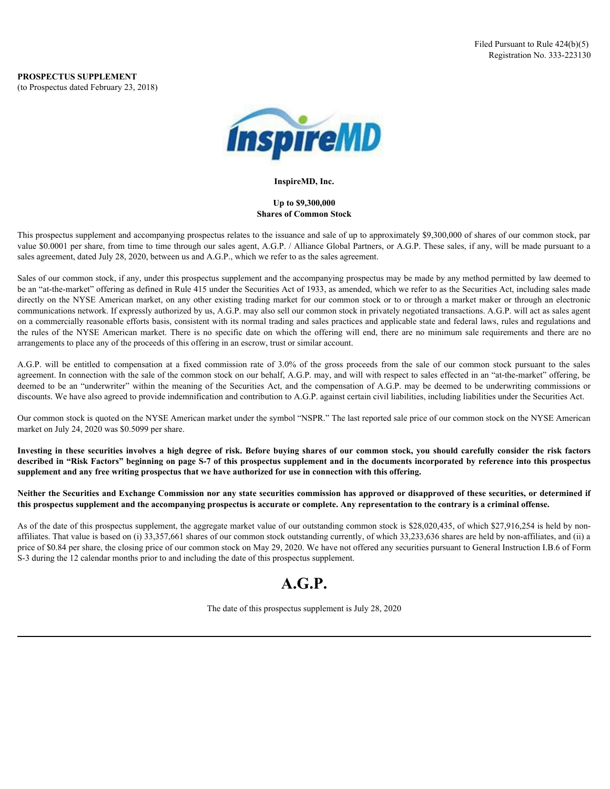

#### **InspireMD, Inc.**

#### **Up to \$9,300,000 Shares of Common Stock**

This prospectus supplement and accompanying prospectus relates to the issuance and sale of up to approximately \$9,300,000 of shares of our common stock, par value \$0.0001 per share, from time to time through our sales agent, A.G.P. / Alliance Global Partners, or A.G.P. These sales, if any, will be made pursuant to a sales agreement, dated July 28, 2020, between us and A.G.P., which we refer to as the sales agreement.

Sales of our common stock, if any, under this prospectus supplement and the accompanying prospectus may be made by any method permitted by law deemed to be an "at-the-market" offering as defined in Rule 415 under the Securities Act of 1933, as amended, which we refer to as the Securities Act, including sales made directly on the NYSE American market, on any other existing trading market for our common stock or to or through a market maker or through an electronic communications network. If expressly authorized by us, A.G.P. may also sell our common stock in privately negotiated transactions. A.G.P. will act as sales agent on a commercially reasonable efforts basis, consistent with its normal trading and sales practices and applicable state and federal laws, rules and regulations and the rules of the NYSE American market. There is no specific date on which the offering will end, there are no minimum sale requirements and there are no arrangements to place any of the proceeds of this offering in an escrow, trust or similar account. FROSPECTUS SUPPLEMENT<br>
FRO CONSERVATION (Registration No. 313.221138)<br>
Registration No. 313.221138)<br>
A.G. Up to 99,200,000<br>
A.G. Up to 99,200,000<br>
This propose supplement and accompanying proposens relates to de is<br>smoke **INVERTIES INTERFERNATION**<br>
Inspirately, the use Systematic distribution of the same of Common Stock to the proposition of this state of our common stock, per subsequent angle of the securities of the securities of our com

agreement. In connection with the sale of the common stock on our behalf, A.G.P. may, and will with respect to sales effected in an "at-the-market" offering, be deemed to be an "underwriter" within the meaning of the Securities Act, and the compensation of A.G.P. may be deemed to be underwriting commissions or discounts. We have also agreed to provide indemnification and contribution to A.G.P. against certain civil liabilities, including liabilities under the Securities Act.

Our common stock is quoted on the NYSE American market under the symbol "NSPR." The last reported sale price of our common stock on the NYSE American market on July 24, 2020 was \$0.5099 per share.

**described in "Risk Factors" beginning on page S-7 of this prospectus supplement and in the documents incorporated by reference into this prospectus supplement and any free writing prospectus that we have authorized for use in connection with this offering.**

**Neither the Securities and Exchange Commission nor any state securities commission has approved or disapproved of these securities, or determined if this prospectus supplement and the accompanying prospectus is accurate or complete. Any representation to the contrary is a criminal offense.**

As of the date of this prospectus supplement, the aggregate market value of our outstanding common stock is \$28,020,435, of which \$27,916,254 is held by nonaffiliates. That value is based on (i) 33,357,661 shares of our common stock outstanding currently, of which 33,233,636 shares are held by non-affiliates, and (ii) a price of \$0.84 per share, the closing price of our common stock on May 29, 2020. We have not offered any securities pursuant to General Instruction I.B.6 of Form S-3 during the 12 calendar months prior to and including the date of this prospectus supplement.

## **A.G.P.**

The date of this prospectus supplement is July 28, 2020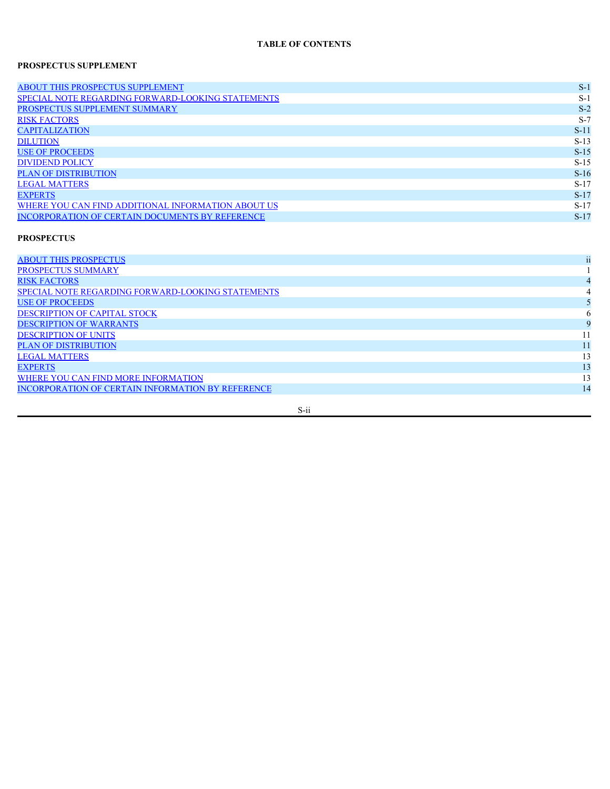#### **TABLE OF CONTENTS**

#### **PROSPECTUS SUPPLEMENT**

| <b>ABOUT THIS PROSPECTUS SUPPLEMENT</b>            | $S-$   |
|----------------------------------------------------|--------|
| SPECIAL NOTE REGARDING FORWARD-LOOKING STATEMENTS  | $S-$   |
| PROSPECTUS SUPPLEMENT SUMMARY                      | $S-2$  |
| <b>RISK FACTORS</b>                                | $S-7$  |
| <b>CAPITALIZATION</b>                              | $S-1$  |
| <b>DILUTION</b>                                    | $S-13$ |
| <b>USE OF PROCEEDS</b>                             | $S-15$ |
| <b>DIVIDEND POLICY</b>                             | $S-15$ |
| <b>PLAN OF DISTRIBUTION</b>                        | $S-16$ |
| <b>LEGAL MATTERS</b>                               | $S-17$ |
| <b>EXPERTS</b>                                     | $S-17$ |
| WHERE YOU CAN FIND ADDITIONAL INFORMATION ABOUT US | $S-17$ |
| INCORPORATION OF CERTAIN DOCUMENTS BY REFERENCE    | $S-17$ |
|                                                    |        |

#### **PROSPECTUS**

| <b>ABOUT THIS PROSPECTUS</b>                      |  |
|---------------------------------------------------|--|
| <b>PROSPECTUS SUMMARY</b>                         |  |
| <b>RISK FACTORS</b>                               |  |
| SPECIAL NOTE REGARDING FORWARD-LOOKING STATEMENTS |  |
| <b>USE OF PROCEEDS</b>                            |  |
| DESCRIPTION OF CAPITAL STOCK                      |  |
| <b>DESCRIPTION OF WARRANTS</b>                    |  |
| <b>DESCRIPTION OF UNITS</b>                       |  |
| <b>PLAN OF DISTRIBUTION</b>                       |  |
| <b>LEGAL MATTERS</b>                              |  |
| <b>EXPERTS</b>                                    |  |
| WHERE YOU CAN FIND MORE INFORMATION               |  |
| INCORPORATION OF CERTAIN INFORMATION BY REFERENCE |  |
|                                                   |  |

S-ii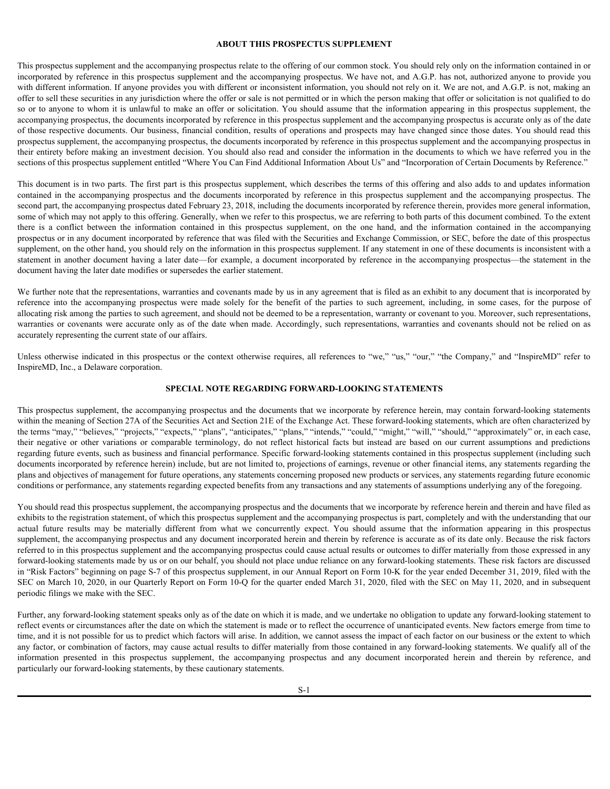#### <span id="page-3-0"></span>**ABOUT THIS PROSPECTUS SUPPLEMENT**

This prospectus supplement and the accompanying prospectus relate to the offering of our common stock. You should rely only on the information contained in or incorporated by reference in this prospectus supplement and the accompanying prospectus. We have not, and A.G.P. has not, authorized anyone to provide you with different information. If anyone provides you with different or inconsistent information, you should not rely on it. We are not, and A.G.P. is not, making an offer to sell these securities in any jurisdiction where the offer or sale is not permitted or in which the person making that offer or solicitation is not qualified to do so or to anyone to whom it is unlawful to make an offer or solicitation. You should assume that the information appearing in this prospectus supplement, the accompanying prospectus, the documents incorporated by reference in this prospectus supplement and the accompanying prospectus is accurate only as of the date of those respective documents. Our business, financial condition, results of operations and prospects may have changed since those dates. You should read this prospectus supplement, the accompanying prospectus, the documents incorporated by reference in this prospectus supplement and the accompanying prospectus in their entirety before making an investment decision. You should also read and consider the information in the documents to which we have referred you in the sections of this prospectus supplement entitled "Where You Can Find Additional Information About Us" and "Incorporation of Certain Documents by Reference." contained in the accompanying prospectus and the documents incorporated by reference in this prospectus supplement and the accompanying prospectus. The ABOUT THIS PROSPECTUS SUPPLEMENT<br>ABOUT THIS PROSPECTUS SUPPLEMENT<br>uncomponented by reference in this prospectus supplement and the secongrapying prospectus. We have not, and A.G.P. has not, authorized anyone to provide a **ABOUT THIS PROSPECTUS SUPPLEMENT**<br>
No prospectus amplement and the accompanying prospectus relate to the difference of our common stock. You should rely only on the difference into the accompanying into the case of the c

This document is in two parts. The first part is this prospectus supplement, which describes the terms of this offering and also adds to and updates information second part, the accompanying prospectus dated February 23, 2018, including the documents incorporated by reference therein, provides more general information, some of which may not apply to this offering. Generally, when we refer to this prospectus, we are referring to both parts of this document combined. To the extent prospectus or in any document incorporated by reference that was filed with the Securities and Exchange Commission, or SEC, before the date of this prospectus supplement, on the other hand, you should rely on the information in this prospectus supplement. If any statement in one of these documents is inconsistent with a statement in another document having a later date—for example, a document incorporated by reference in the accompanying prospectus—the statement in the document having the later date modifies or supersedes the earlier statement. successory, and the december is negative to the state of the comparison of the state or properties and proposed in the proposed in the comparable instead of the state of the state of the state of the state of the state of

We further note that the representations, warranties and covenants made by us in any agreement that is filed as an exhibit to any document that is incorporated by allocating risk among the parties to such agreement, and should not be deemed to be a representation, warranty or covenant to you. Moreover, such representations, warranties or covenants were accurate only as of the date when made. Accordingly, such representations, warranties and covenants should not be relied on as accurately representing the current state of our affairs.

Unless otherwise indicated in this prospectus or the context otherwise requires, all references to "we," "us," "our," "the Company," and "InspireMD" refer to InspireMD, Inc., a Delaware corporation.

#### <span id="page-3-1"></span>**SPECIAL NOTE REGARDING FORWARD-LOOKING STATEMENTS**

This prospectus supplement, the accompanying prospectus and the documents that we incorporate by reference herein, may contain forward-looking statements within the meaning of Section 27A of the Securities Act and Section 21E of the Exchange Act. These forward-looking statements, which are often characterized by the terms "may," "believes," "projects," "expects," "plans", "anticipates," "plans," "intends," "could," "might," "will," "should," "approximately" or, in each case, regarding future events, such as business and financial performance. Specific forward-looking statements contained in this prospectus supplement (including such documents incorporated by reference herein) include, but are not limited to, projections of earnings, revenue or other financial items, any statements regarding the plans and objectives of management for future operations, any statements concerning proposed new products or services, any statements regarding future economic conditions or performance, any statements regarding expected benefits from any transactions and any statements of assumptions underlying any of the foregoing.

You should read this prospectus supplement, the accompanying prospectus and the documents that we incorporate by reference herein and therein and have filed as exhibits to the registration statement, of which this prospectus supplement and the accompanying prospectus is part, completely and with the understanding that our account particle account and the state of the State 21, 01 including the documents incorporate by referrence from the interpretation. The concept of the concept of the interpretation of the interpretation of the interpret supplement, the accompanying prospectus and any document incorporated herein and therein by reference is accurate as of its date only. Because the risk factors referred to in this prospectus supplement and the accompanying prospectus could cause actual results or outcomes to differ materially from those expressed in any forward-looking statements made by us or on our behalf, you should not place undue reliance on any forward-looking statements. These risk factors are discussed in "Risk Factors" beginning on page S-7 of this prospectus supplement, in our Annual Report on Form 10-K for the year ended December 31, 2019, filed with the SEC on March 10, 2020, in our Quarterly Report on Form 10-Q for the quarter ended March 31, 2020, filed with the SEC on May 11, 2020, and in subsequent periodic filings we make with the SEC. incomedy spectrality to correct state of our different on the contents (explice, all references to "we," "us," "our," "the Company," and "langued DI' refer to langued and prospective in this prospective individual incorpor

Further, any forward-looking statement speaks only as of the date on which it is made, and we undertake no obligation to update any forward-looking statement to reflect events or circumstances after the date on which the statement is made or to reflect the occurrence of unanticipated events. New factors emerge from time to time, and it is not possible for us to predict which factors will arise. In addition, we cannot assess the impact of each factor on our business or the extent to which any factor, or combination of factors, may cause actual results to differ materially from those contained in any forward-looking statements. We qualify all of the particularly our forward-looking statements, by these cautionary statements.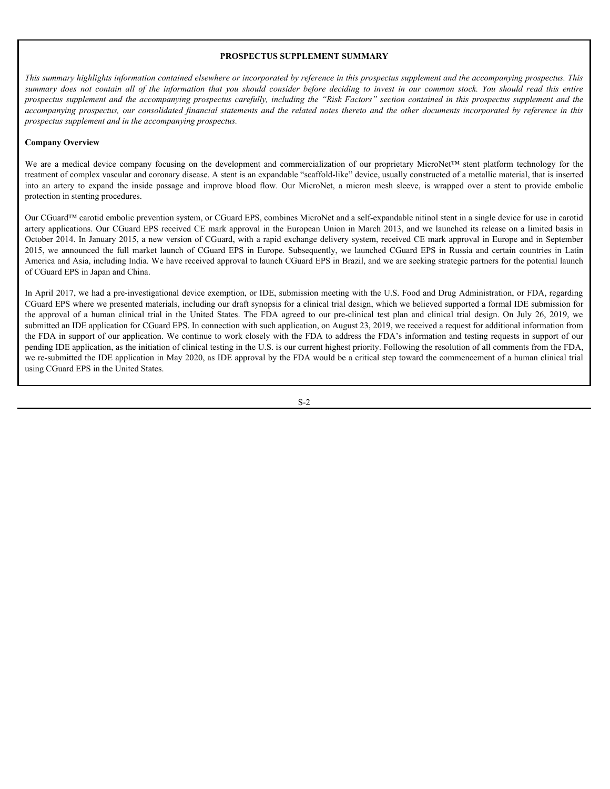#### <span id="page-4-0"></span>**PROSPECTUS SUPPLEMENT SUMMARY**

*This summary highlights information contained elsewhere or incorporated by reference in this prospectus supplement and the accompanying prospectus. This* **FROSPECTUS SUPPLEMENT SUMMARY**<br>*summary dogs not contain all of the information that you should consider before deciding to invest in our common stock. You should read this<br><i>summary does not contain all of the information* **PROSPECTUS SUPPLEMENT SUMMARY**<br> *Prospectus supplement and the accompanying prospectus. This*<br> *prospectus and the accompanying prospectus carefully, including the "Risk Factors" section contained in this prospectus suppl* **PROSPECTUS SUPPLEMENT SUMMARY**<br> *This summary highlights information contained elsewhere or incorporated by reference in this prospectus supplement and the accompanying prospectus. This<br>
summary does not contain all of th prospectus supplement and in the accompanying prospectus.* **PROSPECTUS SUPPLEMENT SUMMARY**<br>
This summary highlights information contained elsewhere or incorporated by reference in this prospectus supplement and the accompanying prospectus. This summary does not contained of the in

#### **Company Overview**

treatment of complex vascular and coronary disease. A stent is an expandable "scaffold-like" device, usually constructed of a metallic material, that is inserted protection in stenting procedures.

**FRIS SUMMARY**<br> **This summary highlights information contained elsewhere or incorporated by reference in this prospectus supplement and die accompanying prospectus. This summary does not contain all of the information that** Our CGuard™ carotid embolic prevention system, or CGuard EPS, combines MicroNet and a self-expandable nitinol stent in a single device for use in carotid artery applications. Our CGuard EPS received CE mark approval in the European Union in March 2013, and we launched its release on a limited basis in October 2014. In January 2015, a new version of CGuard, with a rapid exchange delivery system, received CE mark approval in Europe and in September **2115.** summary highlights information contained elsewhere or incorporated by repleneat in this prospectus supplement and the accompanying prospectus. This numerary does not consider all the information and the decompanyi America and Asia, including India. We have received approval to launch CGuard EPS in Brazil, and we are seeking strategic partners for the potential launch of CGuard EPS in Japan and China.

In April 2017, we had a pre-investigational device exemption, or IDE, submission meeting with the U.S. Food and Drug Administration, or FDA, regarding CGuard EPS where we presented materials, including our draft synopsis for a clinical trial design, which we believed supported a formal IDE submission for **This summary highlights information contained sherefore or incorporated by reformed to this prospector supplement and the accompanying prospectus. This human or absorption provides the proporated by reformed the state con** submitted an IDE application for CGuard EPS. In connection with such application, on August 23, 2019, we received a request for additional information from the FDA in support of our application. We continue to work closely with the FDA to address the FDA's information and testing requests in support of our pending IDE application, as the initiation of clinical testing in the U.S. is our current highest priority. Following the resolution of all comments from the FDA, we re-submitted the IDE application in May 2020, as IDE approval by the FDA would be a critical step toward the commencement of a human clinical trial using CGuard EPS in the United States.

S-2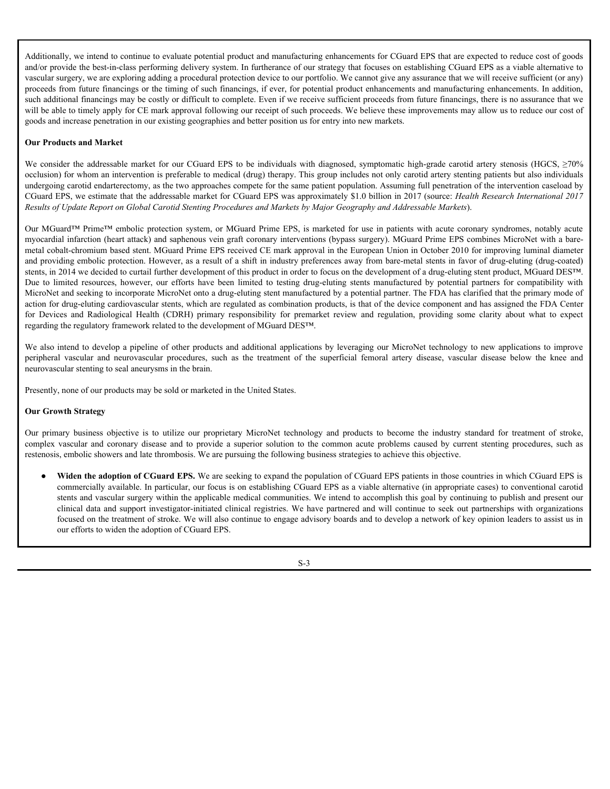Additionally, we intend to continue to evaluate potential product and manufacturing enhancements for CGuard EPS that are expected to reduce cost of goods and/or provide the best-in-class performing delivery system. In furtherance of our strategy that focuses on establishing CGuard EPS as a viable alternative to vascular surgery, we are exploring adding a procedural protection device to our portfolio. We cannot give any assurance that we will receive sufficient (or any) proceeds from future financings or the timing of such financings, if ever, for potential product enhancements and manufacturing enhancements. In addition, such additional financings may be costly or difficult to complete. Even if we receive sufficient proceeds from future financings, there is no assurance that we will be able to timely apply for CE mark approval following our receipt of such proceeds. We believe these improvements may allow us to reduce our cost of goods and increase penetration in our existing geographies and better position us for entry into new markets. Additionally, we intend to continue to evaluate potential product and manufacturing enhancements for CGuard EPS that are expected to reduce cost of goods and<br>y provide in best-in-class performing delivery system. In furth

#### **Our Products and Market**

occlusion) for whom an intervention is preferable to medical (drug) therapy. This group includes not only carotid artery stenting patients but also individuals undergoing carotid endarterectomy, as the two approaches compete for the same patient population. Assuming full penetration of the intervention caseload by CGuard EPS, we estimate that the addressable market for CGuard EPS was approximately \$1.0 billion in 2017 (source: *Health Research International 2017 Results of Update Report on Global Carotid Stenting Procedures and Markets by Major Geography and Addressable Markets*).

Our MGuard™ Prime™ embolic protection system, or MGuard Prime EPS, is marketed for use in patients with acute coronary syndromes, notably acute myocardial infarction (heart attack) and saphenous vein graft coronary interventions (bypass surgery). MGuard Prime EPS combines MicroNet with a baremetal cobalt-chromium based stent. MGuard Prime EPS received CE mark approval in the European Union in October 2010 for improving luminal diameter and providing embolic protection. However, as a result of a shift in industry preferences away from bare-metal stents in favor of drug-eluting (drug-coated) stents, in 2014 we decided to curtail further development of this product in order to focus on the development of a drug-eluting stent product, MGuard DES™. Additionally, we intend to continue to evaluate potential product and manufacturing chancements for CGuard EPS that are expected to reduce cont of poods<br>analog provide the best-in-dass performing oldivery system. In furth MicroNet and seeking to incorporate MicroNet onto a drug-eluting stent manufactured by a potential partner. The FDA has clarified that the primary mode of action for drug-eluting cardiovascular stents, which are regulated as combination products, is that of the device component and has assigned the FDA Center Addioinally, we intend to continue to evaluate potential product and manufacturing enhancements for CGuard EPS that are expected to reduce ostat fraction and stage was evaluate and stage was evaluate suggery was required regarding the regulatory framework related to the development of MGuard DES™. Additionally, we inited to evaluate to evaluate product and manufacturing enhancements for CGand EPS that are coposed to reduce and product methods and the such and the such and the such and the such and the such and the will to absolve the primary apply of CF in the appearance in the business of the control in the standard interest of the propriation of the propriation of the propriation of the propriation of the propriation of the stand pools and increase penerities in our extinting experipsion and better position us for early to to wormarise the playerate caused and reflected and the provide to the coronary this properties the following by two summing pr

We also intend to develop a pipeline of other products and additional applications by leveraging our MicroNet technology to new applications to improve neurovascular stenting to seal aneurysms in the brain.

Presently, none of our products may be sold or marketed in the United States.

#### **Our Growth Strategy**

restenosis, embolic showers and late thrombosis. We are pursuing the following business strategies to achieve this objective.

Widen the adoption of CGuard EPS. We are seeking to expand the population of CGuard EPS patients in those countries in which CGuard EPS is commercially available. In particular, our focus is on establishing CGuard EPS as a viable alternative (in appropriate cases) to conventional carotid stents and vascular surgery within the applicable medical communities. We intend to accomplish this goal by continuing to publish and present our clinical data and support investigator-initiated clinical registries. We have partnered and will continue to seek out partnerships with organizations focused on the treatment of stroke. We will also continue to engage advisory boards and to develop a network of key opinion leaders to assist us in our efforts to widen the adoption of CGuard EPS.

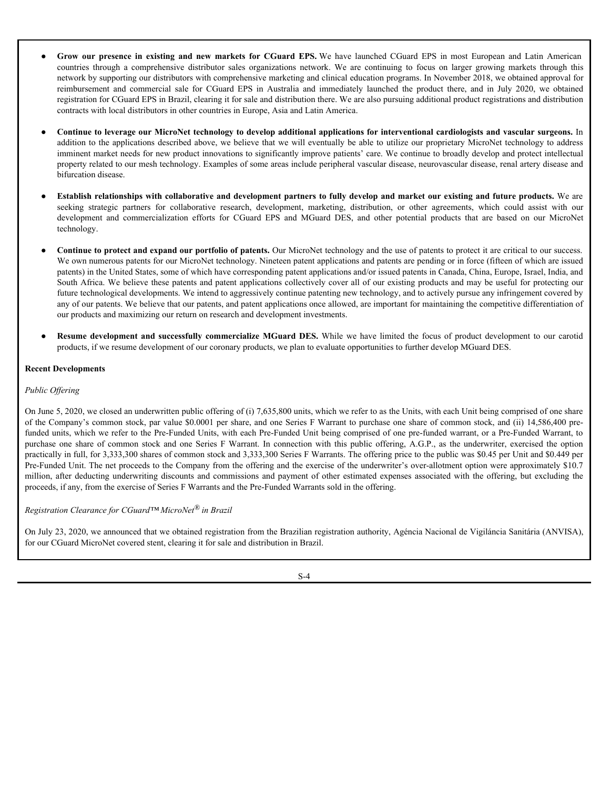- **Grow our presence in existing and new markets for CGuard EPS.** We have launched CGuard EPS in most European and Latin American countries through a comprehensive distributor sales organizations network. We are continuin Grow our presence in existing and new markets for CGuard EPS. We have launched CGuard EPS in most European and Latin American<br>countries through a comprehensive distributor sales organizations network. We are continuing to network by supporting our distributors with comprehensive marketing and clinical education programs. In November 2018, we obtained approval for **Grow our presence in existing and new markets for CGuard EPS.** We have launched CGuard EPS in most European and Latin American countries through a comprehensive distributor sales organizations network. We are continuing t registration for CGuard EPS in Brazil, clearing it for sale and distribution there. We are also pursuing additional product registrations and distribution contracts with local distributors in other countries in Europe, Asia and Latin America. Grow our presence in existing and new markets for CGuard EPS, We have launched CGuard EPS in most European and Latin American<br>conturies through a comprehensive distribution sales organizations network. We are continuing to Grow our presence in existing and new markets for CGuard EPS. We have launched CGuard EPS in most European and Latin American<br>countries through a comprehensive chistolication assignations method. We are comming to focus on
- **Continue to leverage our MicroNet technology to develop additional applications for interventional cardiologists and vascular surgeons.** In addition to the applications described above, we believe that we will eventually be able to utilize our proprietary MicroNet technology to address imminent market needs for new product innovations to significantly improve patients' care. We continue to broadly develop and protect intellectual property related to our mesh technology. Examples of some areas include peripheral vascular disease, neurovascular disease, renal artery disease and bifurcation disease.
- Establish relationships with collaborative and development partners to fully develop and market our existing and future products. We are technology.
- **Continue to protect and expand our portfolio of patents.** Our MicroNet technology and the use of patents to protect it are critical to our success. We own numerous patents for our MicroNet technology. Nineteen patent applications and patents are pending or in force (fifteen of which are issued patents) in the United States, some of which have corresponding patent applications and/or issued patents in Canada, China, Europe, Israel, India, and South Africa. We believe these patents and patent applications collectively cover all of our existing products and may be useful for protecting our future technological developments. We intend to aggressively continue patenting new technology, and to actively pursue any infringement covered by any of our patents. We believe that our patents, and patent applications once allowed, are important for maintaining the competitive differentiation of our products and maximizing our return on research and development investments. **Community and the substitution of the community of the Community of the substitution and the substitution of the substitution and the substitution and the substitution of the substitution of the substitution of the substi**
- products, if we resume development of our coronary products, we plan to evaluate opportunities to further develop MGuard DES.

#### **Recent Developments**

#### *Public Offering*

On June 5, 2020, we closed an underwritten public offering of (i) 7,635,800 units, which we refer to as the Units, with each Unit being comprised of one share of the Company's common stock, par value \$0.0001 per share, and one Series F Warrant to purchase one share of common stock, and (ii) 14,586,400 prefunded units, which we refer to the Pre-Funded Units, with each Pre-Funded Unit being comprised of one pre-funded warrant, or a Pre-Funded Warrant, to • Continue to be terrage our Micro/Set (rehandog to develop additional applications for interventional care and said and the and the source of the source of the common stress for the common stress frequencies with the co practically in full, for 3,333,300 shares of common stock and 3,333,300 Series F Warrants. The offering price to the public was \$0.45 per Unit and \$0.449 per Pre-Funded Unit. The net proceeds to the Company from the offering and the exercise of the underwriter's over-allotment option were approximately \$10.7 minimal multicle computer in the original model through the propose and the bumilion in the commission in the commission of other and the stationary and the stationary in the commission of the stationary in the commission proceeds, if any, from the exercise of Series F Warrants and the Pre-Funded Warrants sold in the offering.

#### *Registration Clearance for CGuard™ MicroNet® in Brazil*

On July 23, 2020, we announced that we obtained registration from the Brazilian registration authority, Agéncia Nacional de Vigiláncia Sanitária (ANVISA), for our CGuard MicroNet covered stent, clearing it for sale and distribution in Brazil.

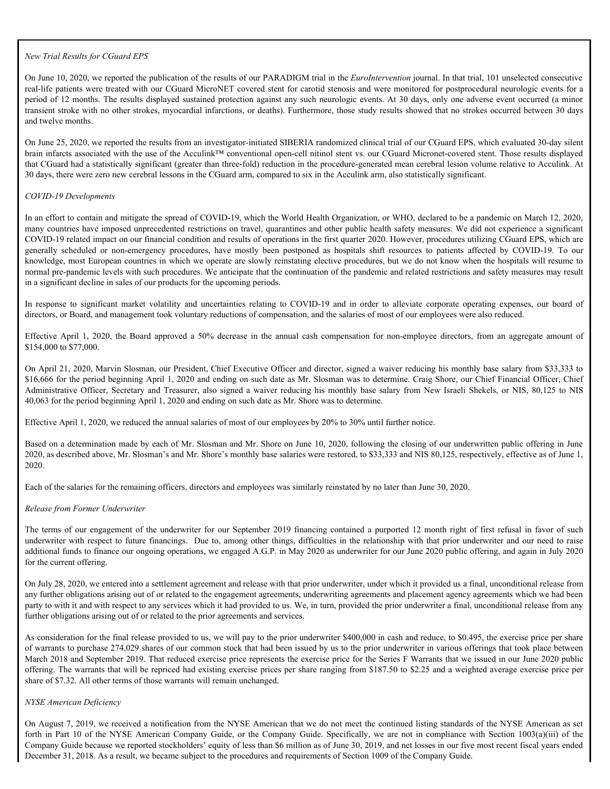#### *New Trial Results for CGuard EPS*

On June 10, 2020, we reported the publication of the results of our PARADIGM trial in the *EuroIntervention* journal. In that trial, 101 unselected consecutive real-life patients were treated with our CGuard MicroNET covered stent for carotid stenosis and were monitored for postprocedural neurologic events for a period of 12 months. The results displayed sustained protection against any such neurologic events. At 30 days, only one adverse event occurred (a minor transient stroke with no other strokes, myocardial infarctions, or deaths). Furthermore, those study results showed that no strokes occurred between 30 days and twelve months.

On June 25, 2020, we reported the results from an investigator-initiated SIBERIA randomized clinical trial of our CGuard EPS, which evaluated 30-day silent brain infarcts associated with the use of the Acculink™ conventional open-cell nitinol stent vs. our CGuard Micronet-covered stent. Those results displayed that CGuard had a statistically significant (greater than three-fold) reduction in the procedure-generated mean cerebral lesion volume relative to Acculink. At 30 days, there were zero new cerebral lessons in the CGuard arm, compared to six in the Acculink arm, also statistically significant.

#### *COVID-19 Developments*

In an effort to contain and mitigate the spread of COVID-19, which the World Health Organization, or WHO, declared to be a pandemic on March 12, 2020, many countries have imposed unprecedented restrictions on travel, quarantines and other public health safety measures. We did not experience a significant COVID-19 related impact on our financial condition and results of operations in the first quarter 2020. However, procedures utilizing CGuard EPS, which are New Trial Results for CGnard EPS<br>
On Intel 0, 2002, we reported the publication of the results of our PARADKiM trial in the *Eurolinerveition* journal. In that trial, 101 unselected consecutive<br>
Included of 12 ments, The knowledge, most European countries in which we operate are slowly reinstating elective procedures, but we do not know when the hospitals will resume to normal pre-pandemic levels with such procedures. We anticipate that the continuation of the pandemic and related restrictions and safety measures may result in a significant decline in sales of our products for the upcoming periods. Nev Trial Results for CGnard EPS<br>
16 Lines 10, 2020, we reported the runk-terian of the results of our PARADHOM trial in the forest<br>particle of 12 months. The results discussions of the relations of the alleges of the acti New Treal Resolut for CGnard PPS<br>On Jane 10, 2020, we requested the publishion of the results of our PARADROM trial in the Europhore waters instant in the finite place and<br>resolution public public annot Computer Moreover a On Jane 10, 2020, we reported the publication of the results of our PARCAROIA tiail are *kinetible* particles particles and the constrained in the month signe and weathed for position and the particles of the particles par In an effort to contain and mitgare the speed of COVID-19, which the World Health Organization, or WHO, declared to be a parademic courage contained the rest published in a fit published in the present law engagement in t

directors, or Board, and management took voluntary reductions of compensation, and the salaries of most of our employees were also reduced.

\$154,000 to \$77,000.

On April 21, 2020, Marvin Slosman, our President, Chief Executive Officer and director, signed a waiver reducing his monthly base salary from \$33,333 to \$16,666 for the period beginning April 1, 2020 and ending on such date as Mr. Slosman was to determine. Craig Shore, our Chief Financial Officer, Chief 40,063 for the period beginning April 1, 2020 and ending on such date as Mr. Shore was to determine.

Effective April 1, 2020, we reduced the annual salaries of most of our employees by 20% to 30% until further notice.

Based on a determination made by each of Mr. Slosman and Mr. Shore on June 10, 2020, following the closing of our underwritten public offering in June 2020, as described above, Mr. Slosman's and Mr. Shore's monthly base salaries were restored, to \$33,333 and NIS 80,125, respectively, effective as of June 1, 2020.

Each of the salaries for the remaining officers, directors and employees was similarly reinstated by no later than June 30, 2020.

#### *Release from Former Underwriter*

underwriter with respect to future financings. Due to, among other things, difficulties in the relationship with that prior underwriter and our need to raise additional funds to finance our ongoing operations, we engaged A.G.P. in May 2020 as underwriter for our June 2020 public offering, and again in July 2020 for the current offering.

On July 28, 2020, we entered into a settlement agreement and release with that prior underwriter, under which it provided us a final, unconditional release from any further obligations arising out of or related to the engagement agreements, underwriting agreements and placement agency agreements which we had been party to with it and with respect to any services which it had provided to us. We, in turn, provided the prior underwriter a final, unconditional release from any further obligations arising out of or related to the prior agreements and services.

As consideration for the final release provided to us, we will pay to the prior underwriter \$400,000 in cash and reduce, to \$0.495, the exercise price per share of warrants to purchase 274,029 shares of our common stock that had been issued by us to the prior underwriter in various offerings that took place between March 2018 and September 2019. That reduced exercise price represents the exercise price for the Series F Warrants that we issued in our June 2020 public offering. The warrants that will be repriced had existing exercise prices per share ranging from \$187.50 to \$2.25 and a weighted average exercise price per share of \$7.32. All other terms of those warrants will remain unchanged. Hilectre April 1, 2020, we reduced the armul submer of most of our employees by 20% to 20% in this final metric.<br>Bared on a determination made by each of Mr. Shamma and Mr. Share on Jane 10, 2026, following the closing of

#### *NYSE American Deficiency*

On August 7, 2019, we received a notification from the NYSE American that we do not meet the continued listing standards of the NYSE American as set Company Guide because we reported stockholders' equity of less than \$6 million as of June 30, 2019, and net losses in our five most recent fiscal years ended December 31, 2018. As a result, we became subject to the procedures and requirements of Section 1009 of the Company Guide.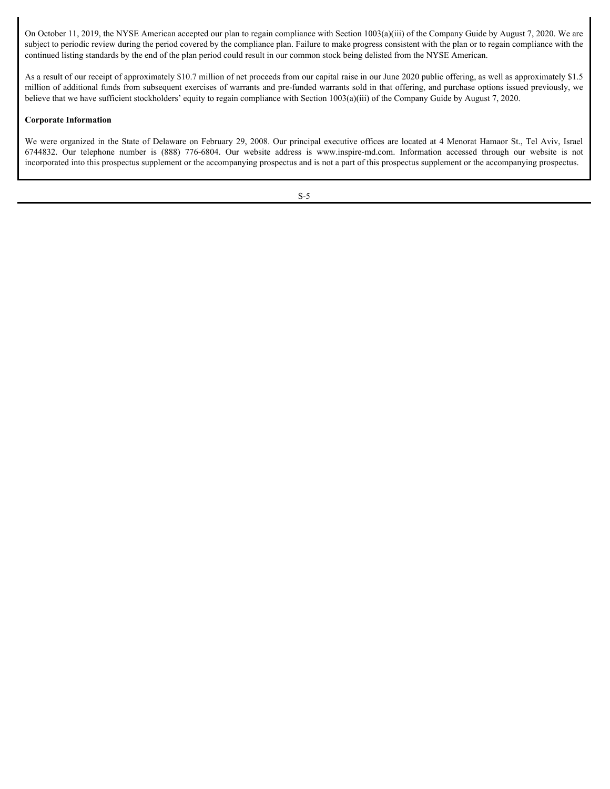On October 11, 2019, the NYSE American accepted our plan to regain compliance with Section 1003(a)(iii) of the Company Guide by August 7, 2020. We are subject to periodic review during the period covered by the compliance plan. Failure to make progress consistent with the plan or to regain compliance with the continued listing standards by the end of the plan period could result in our common stock being delisted from the NYSE American. On October 11, 2019, the NYSE American accepted our plan to regain compliance with Section 1003(a)(iii) of the Company Guide by August 7, 2020. We are subject to product orrivial with gend of the point of busineurs phain

As a result of our receipt of approximately \$10.7 million of net proceeds from our capital raise in our June 2020 public offering, as well as approximately \$1.5 million of additional funds from subsequent exercises of warrants and pre-funded warrants sold in that offering, and purchase options issued previously, we believe that we have sufficient stockholders' equity to regain compliance with Section 1003(a)(iii) of the Company Guide by August 7, 2020.

#### **Corporate Information**

We were organized in the State of Delaware on February 29, 2008. Our principal executive offices are located at 4 Menorat Hamaor St., Tel Aviv, Israel incorporated into this prospectus supplement or the accompanying prospectus and is not a part of this prospectus supplement or the accompanying prospectus.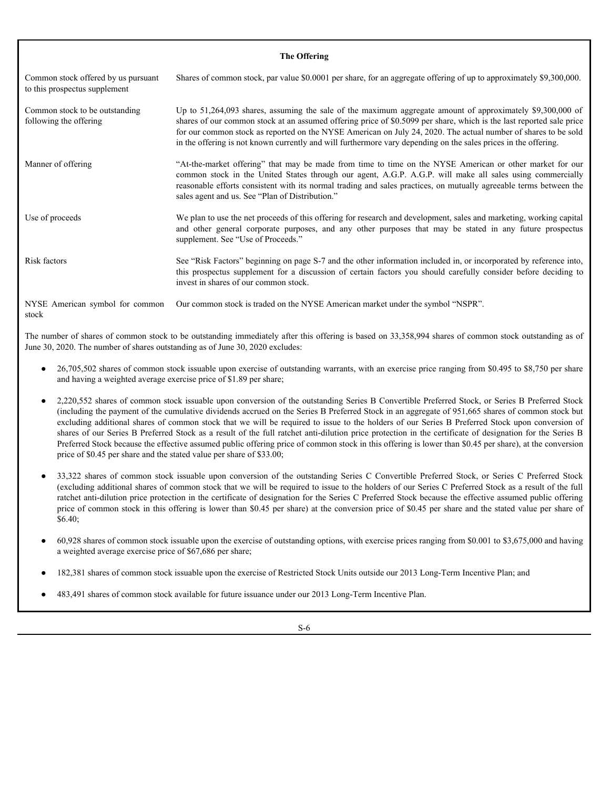| Common stock offered by us pursuant<br>to this prospectus supplement          | The Offering<br>Shares of common stock, par value \$0.0001 per share, for an aggregate offering of up to approximately \$9,300,000.                                                                                                                                                                                                                                                                                                                                                                                                                                                                                                                                                                                                                                          |
|-------------------------------------------------------------------------------|------------------------------------------------------------------------------------------------------------------------------------------------------------------------------------------------------------------------------------------------------------------------------------------------------------------------------------------------------------------------------------------------------------------------------------------------------------------------------------------------------------------------------------------------------------------------------------------------------------------------------------------------------------------------------------------------------------------------------------------------------------------------------|
| Common stock to be outstanding<br>following the offering                      | Up to 51,264,093 shares, assuming the sale of the maximum aggregate amount of approximately \$9,300,000 of<br>shares of our common stock at an assumed offering price of \$0.5099 per share, which is the last reported sale price<br>for our common stock as reported on the NYSE American on July 24, 2020. The actual number of shares to be sold<br>in the offering is not known currently and will furthermore vary depending on the sales prices in the offering.                                                                                                                                                                                                                                                                                                      |
| Manner of offering                                                            | "At-the-market offering" that may be made from time to time on the NYSE American or other market for our<br>common stock in the United States through our agent, A.G.P. A.G.P. will make all sales using commercially<br>reasonable efforts consistent with its normal trading and sales practices, on mutually agreeable terms between the<br>sales agent and us. See "Plan of Distribution."                                                                                                                                                                                                                                                                                                                                                                               |
| Use of proceeds                                                               | We plan to use the net proceeds of this offering for research and development, sales and marketing, working capital<br>and other general corporate purposes, and any other purposes that may be stated in any future prospectus<br>supplement. See "Use of Proceeds."                                                                                                                                                                                                                                                                                                                                                                                                                                                                                                        |
| Risk factors                                                                  | See "Risk Factors" beginning on page S-7 and the other information included in, or incorporated by reference into,<br>this prospectus supplement for a discussion of certain factors you should carefully consider before deciding to<br>invest in shares of our common stock.                                                                                                                                                                                                                                                                                                                                                                                                                                                                                               |
| NYSE American symbol for common<br>stock                                      | Our common stock is traded on the NYSE American market under the symbol "NSPR".                                                                                                                                                                                                                                                                                                                                                                                                                                                                                                                                                                                                                                                                                              |
| June 30, 2020. The number of shares outstanding as of June 30, 2020 excludes: | The number of shares of common stock to be outstanding immediately after this offering is based on 33,358,994 shares of common stock outstanding as of                                                                                                                                                                                                                                                                                                                                                                                                                                                                                                                                                                                                                       |
| and having a weighted average exercise price of \$1.89 per share;             | • 26,705,502 shares of common stock issuable upon exercise of outstanding warrants, with an exercise price ranging from \$0.495 to \$8,750 per share                                                                                                                                                                                                                                                                                                                                                                                                                                                                                                                                                                                                                         |
| price of \$0.45 per share and the stated value per share of \$33.00;          | 2,220,552 shares of common stock issuable upon conversion of the outstanding Series B Convertible Preferred Stock, or Series B Preferred Stock<br>(including the payment of the cumulative dividends accrued on the Series B Preferred Stock in an aggregate of 951,665 shares of common stock but<br>excluding additional shares of common stock that we will be required to issue to the holders of our Series B Preferred Stock upon conversion of<br>shares of our Series B Preferred Stock as a result of the full ratchet anti-dilution price protection in the certificate of designation for the Series B<br>Preferred Stock because the effective assumed public offering price of common stock in this offering is lower than \$0.45 per share), at the conversion |
| \$6.40;                                                                       | 33,322 shares of common stock issuable upon conversion of the outstanding Series C Convertible Preferred Stock, or Series C Preferred Stock<br>(excluding additional shares of common stock that we will be required to issue to the holders of our Series C Preferred Stock as a result of the full<br>ratchet anti-dilution price protection in the certificate of designation for the Series C Preferred Stock because the effective assumed public offering<br>price of common stock in this offering is lower than \$0.45 per share) at the conversion price of \$0.45 per share and the stated value per share of                                                                                                                                                      |
|                                                                               | 60,928 shares of common stock issuable upon the exercise of outstanding options, with exercise prices ranging from \$0.001 to \$3,675,000 and having                                                                                                                                                                                                                                                                                                                                                                                                                                                                                                                                                                                                                         |

- 26,705,502 shares of common stock issuable upon exercise of outstanding warrants, with an exercise price ranging from \$0.495 to \$8,750 per share and having a weighted average exercise price of \$1.89 per share;
- 2,220,552 shares of common stock issuable upon conversion of the outstanding Series B Convertible Preferred Stock, or Series B Preferred Stock (including the payment of the cumulative dividends accrued on the Series B Preferred Stock in an aggregate of 951,665 shares of common stock but excluding additional shares of common stock that we will be required to issue to the holders of our Series B Preferred Stock upon conversion of shares of our Series B Preferred Stock as a result of the full ratchet anti-dilution price protection in the certificate of designation for the Series B Preferred Stock because the effective assumed public offering price of common stock in this offering is lower than \$0.45 per share), at the conversion price of \$0.45 per share and the stated value per share of \$33.00;
- (excluding additional shares of common stock that we will be required to issue to the holders of our Series C Preferred Stock as a result of the full ratchet anti-dilution price protection in the certificate of designation for the Series C Preferred Stock because the effective assumed public offering price of common stock in this offering is lower than \$0.45 per share) at the conversion price of \$0.45 per share and the stated value per share of \$6.40;
- 60,928 shares of common stock issuable upon the exercise of outstanding options, with exercise prices ranging from \$0.001 to \$3,675,000 and having a weighted average exercise price of \$67,686 per share;
- 182,381 shares of common stock issuable upon the exercise of Restricted Stock Units outside our 2013 Long-Term Incentive Plan; and
- 483,491 shares of common stock available for future issuance under our 2013 Long-Term Incentive Plan.

S-6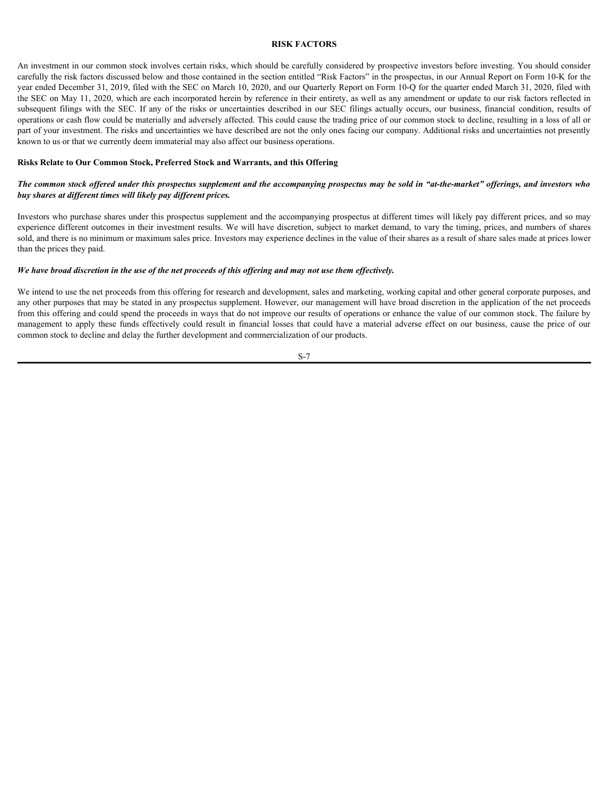#### <span id="page-10-0"></span>**RISK FACTORS**

An investment in our common stock involves certain risks, which should be carefully considered by prospective investors before investing. You should consider carefully the risk factors discussed below and those contained in the section entitled "Risk Factors" in the prospectus, in our Annual Report on Form 10-K for the year ended December 31, 2019, filed with the SEC on March 10, 2020, and our Quarterly Report on Form 10-Q for the quarter ended March 31, 2020, filed with the SEC on May 11, 2020, which are each incorporated herein by reference in their entirety, as well as any amendment or update to our risk factors reflected in **EXENTIGRS**<br>**RISK FACTORS**<br>**RISK FACTORS**<br>**RISK FACTORS**<br>**RISK FACTORS**<br>**RISK FACTORS**<br>**RISK FACTORS**<br>**RISK FACTORS**<br>**RISK FACTORS**<br>**RISK FACTORS**<br>**RISK FACTORS**<br>**RISK FACTORS**<br>**RISK FACTORS**<br>**RISK FACTORS**<br>**RISK FACTORS**<br> operations or cash flow could be materially and adversely affected. This could cause the trading price of our common stock to decline, resulting in a loss of all or part of your investment. The risks and uncertainties we have described are not the only ones facing our company. Additional risks and uncertainties not presently known to us or that we currently deem immaterial may also affect our business operations. **EXERCTORS**<br>**EXERCITENTS**<br>**EXERCITENTS** and consider and done could be considered in the result of the Funds in the proposition in exercising the material of the sector May 11 and Apply the Fund Repubble and Apply the Fun

#### **Risks Relate to Our Common Stock, Preferred Stock and Warrants, and this Offering**

#### *The common stock offered under this prospectus supplement and the accompanying prospectus may be sold in "at-the-market" offerings, and investors who buy shares at different times will likely pay different prices.*

Investors who purchase shares under this prospectus supplement and the accompanying prospectus at different times will likely pay different prices, and so may experience different outcomes in their investment results. We will have discretion, subject to market demand, to vary the timing, prices, and numbers of shares sold, and there is no minimum or maximum sales price. Investors may experience declines in the value of their shares as a result of share sales made at prices lower than the prices they paid.

#### *We have broad discretion in the use of the net proceeds of this offering and may not use them effectively.*

We intend to use the net proceeds from this offering for research and development, sales and marketing, working capital and other general corporate purposes, and any other purposes that may be stated in any prospectus supplement. However, our management will have broad discretion in the application of the net proceeds from this offering and could spend the proceeds in ways that do not improve our results of operations or enhance the value of our common stock. The failure by common stock to decline and delay the further development and commercialization of our products.

S-7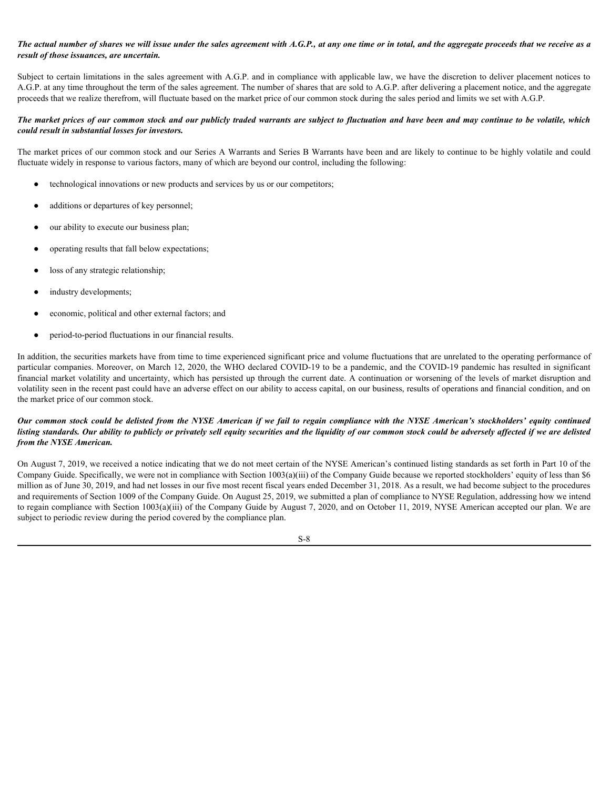#### *The actual number of shares we will issue under the sales agreement with A.G.P., at any one time or in total, and the aggregate proceeds that we receive as a result of those issuances, are uncertain.*

Subject to certain limitations in the sales agreement with A.G.P. and in compliance with applicable law, we have the discretion to deliver placement notices to A.G.P. at any time throughout the term of the sales agreement. The number of shares that are sold to A.G.P. after delivering a placement notice, and the aggregate proceeds that we realize therefrom, will fluctuate based on the market price of our common stock during the sales period and limits we set with A.G.P.

#### *The market prices of our common stock and our publicly traded warrants are subject to fluctuation and have been and may continue to be volatile, which could result in substantial losses for investors.*

The market prices of our common stock and our Series A Warrants and Series B Warrants have been and are likely to continue to be highly volatile and could fluctuate widely in response to various factors, many of which are beyond our control, including the following:

- technological innovations or new products and services by us or our competitors;
- additions or departures of key personnel;
- our ability to execute our business plan;
- operating results that fall below expectations;
- loss of any strategic relationship;
- industry developments;
- economic, political and other external factors; and
- period-to-period fluctuations in our financial results.

In addition, the securities markets have from time to time experienced significant price and volume fluctuations that are unrelated to the operating performance of particular companies. Moreover, on March 12, 2020, the WHO declared COVID-19 to be a pandemic, and the COVID-19 pandemic has resulted in significant financial market volatility and uncertainty, which has persisted up through the current date. A continuation or worsening of the levels of market disruption and volatility seen in the recent past could have an adverse effect on our ability to access capital, on our business, results of operations and financial condition, and on the market price of our common stock. **The monetary and the stock could be delisted from the NYSE American is the NYSE American in the NYSE American's the NYSE American's the NYSE American's to regular to the NYSE American's to regular the NYSE American's the** 

### *listing standards. Our ability to publicly or privately sell equity securities and the liquidity of our common stock could be adversely affected if we are delisted from the NYSE American.*

On August 7, 2019, we received a notice indicating that we do not meet certain of the NYSE American's continued listing standards as set forth in Part 10 of the Company Guide. Specifically, we were not in compliance with Section 1003(a)(iii) of the Company Guide because we reported stockholders' equity of less than \$6 million as of June 30, 2019, and had net losses in our five most recent fiscal years ended December 31, 2018. As a result, we had become subject to the procedures and requirements of Section 1009 of the Company Guide. On August 25, 2019, we submitted a plan of compliance to NYSE Regulation, addressing how we intend to regain compliance with Section 1003(a)(iii) of the Company Guide by August 7, 2020, and on October 11, 2019, NYSE American accepted our plan. We are subject to periodic review during the period covered by the compliance plan.

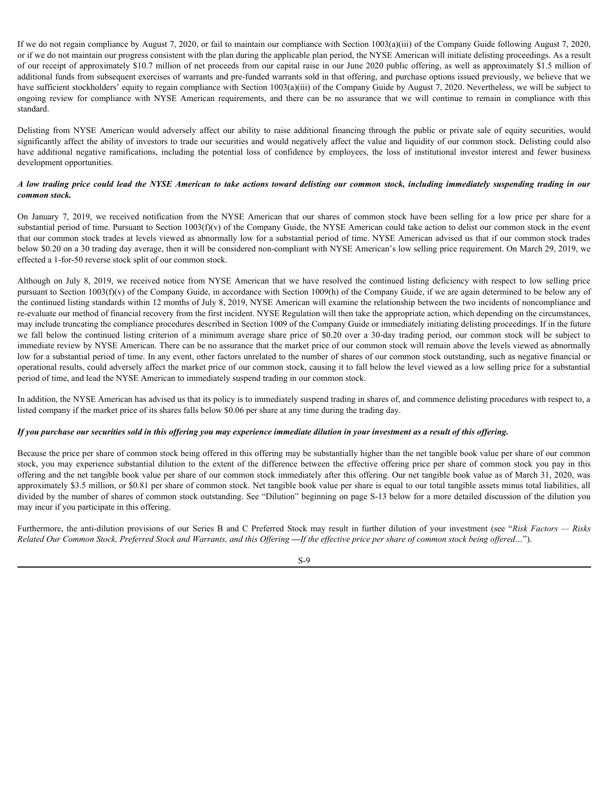If we do not regain compliance by August 7, 2020, or fail to maintain our compliance with Section 1003(a)(iii) of the Company Guide following August 7, 2020, or if we do not maintain our progress consistent with the plan during the applicable plan period, the NYSE American will initiate delisting proceedings. As a result of our receipt of approximately \$10.7 million of net proceeds from our capital raise in our June 2020 public offering, as well as approximately \$1.5 million of additional funds from subsequent exercises of warrants and pre-funded warrants sold in that offering, and purchase options issued previously, we believe that we have sufficient stockholders' equity to regain compliance with Section 1003(a)(iii) of the Company Guide by August 7, 2020. Nevertheless, we will be subject to If we do not regain compliance by August 7, 2020, or fail to maintain our compliance with Section 1003(a)(iii) of the Company Guide following August 7, 2020, or for the with the plane duration our recepts consistent with standard. If we do not regain compliance by August 7, 2020, or fail to maintain our compliance with Section 1003(a)(iii) of the Company Guide following August 7, 2020, or if we do not maintain our progress consistent with the plan d If we do not regain compliance by August 7, 2020, or fail to maintain our compliance with Section 1003(a)(iii) of the Company Guide following August 7, 2020, or for if we do not maintain our progress consistent with the pl *A li* we do not regain compliance by August 7, 2020, or fail to maintain our compliance with Section 1003(a)(iii) of the Company Guide following August 7, 2020, or for it we do not maintain our progress consistent with th If we do not regain compliance by August 7, 2020, or fail to maintain our compliance with Section 1003(a)(iii) of the Company Guide following August 7, 2020, or five do see maintain our properse consistent with the plan do

significantly affect the ability of investors to trade our securities and would negatively affect the value and liquidity of our common stock. Delisting could also development opportunities.

# *common stock.*

substantial period of time. Pursuant to Section  $1003(f)(v)$  of the Company Guide, the NYSE American could take action to delist our common stock in the event that our common stock trades at levels viewed as abnormally low for a substantial period of time. NYSE American advised us that if our common stock trades below \$0.20 on a 30 trading day average, then it will be considered non-compliant with NYSE American's low selling price requirement. On March 29, 2019, we effected a 1-for-50 reverse stock split of our common stock.

If we do not regain compliance by August 7, 2020, or fail to maintain our compliance with Section 1003(4/iii) of the Company Guide following American Company (since if if the solven minimal not from the plane of the intern pursuant to Section 1003(f)(v) of the Company Guide, in accordance with Section 1009(h) of the Company Guide, if we are again determined to be below any of the continued listing standards within 12 months of July 8, 2019, NYSE American will examine the relationship between the two incidents of noncompliance and re-evaluate our method of financial recovery from the first incident. NYSE Regulation will then take the appropriate action, which depending on the circumstances, may include truncating the compliance procedures described in Section 1009 of the Company Guide or immediately initiating delisting proceedings. If in the future If we do not equin complane by Aqquat 2, 2020, or falls a minimum sympatheneo with Section 1000QQQlim of the compare Galacies particles and the content of a continue of the content of a material of a most of the content of immediate review by NYSE American. There can be no assurance that the market price of our common stock will remain above the levels viewed as abnormally low for a substantial period of time. In any event, other factors unrelated to the number of shares of our common stock outstanding, such as negative financial or operational results, could adversely affect the market price of our common stock, causing it to fall below the level viewed as a low selling price for a substantial period of time, and lead the NYSE American to immediately suspend trading in our common stock. significantly offer to ability of involving the observations and weall ogents) that the difference common stock. Distinguistic and the extent of the substantial continue continue of the extent of the extend of the extend o On Jammy 7, 2019, we reseived notification from the NYSE American that or shares of common seeck have been selling for a low preferred oute. Particular products and the common set of the common selling and the common sell

In addition, the NYSE American has advised us that its policy is to immediately suspend trading in shares of, and commence delisting procedures with respect to, a listed company if the market price of its shares falls below \$0.06 per share at any time during the trading day.

#### *If you purchase our securities sold in this offering you may experience immediate dilution in your investment as a result of this offering.*

Because the price per share of common stock being offered in this offering may be substantially higher than the net tangible book value per share of our common offering and the net tangible book value per share of our common stock immediately after this offering. Our net tangible book value as of March 31, 2020, was approximately \$3.5 million, or \$0.81 per share of common stock. Net tangible book value per share is equal to our total tangible assets minus total liabilities, all divided by the number of shares of common stock outstanding. See "Dilution" beginning on page S-13 below for a more detailed discussion of the dilution you may incur if you participate in this offering.

*Related Our Common Stock, Preferred Stock and Warrants, and this Offering* **—***If the effective price per share of common stock being offered…*").

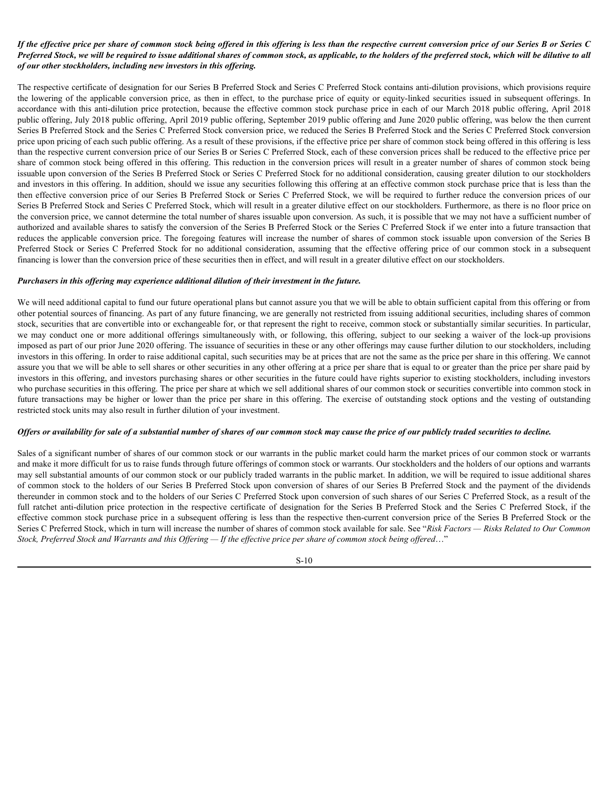#### *If the effective price per share of common stock being offered in this offering is less than the respective current conversion price of our Series B or Series C Preferred Stock, we will be required to issue additional shares of common stock, as applicable, to the holders of the preferred stock, which will be dilutive to all of our other stockholders, including new investors in this offering.*

The respective certificate of designation for our Series B Preferred Stock and Series C Preferred Stock contains anti-dilution provisions, which provisions require If the effective price per share of common stock being offered in this offering is less than the respective current conversion price of our Series B or Series C<br>Preferred Stock, we will be required to issue additional shar accordance with this anti-dilution price protection, because the effective common stock purchase price in each of our March 2018 public offering, April 2018 public offering, July 2018 public offering, April 2019 public offering, September 2019 public offering and June 2020 public offering, was below the then current Series B Preferred Stock and the Series C Preferred Stock conversion price, we reduced the Series B Preferred Stock and the Series C Preferred Stock conversion price upon pricing of each such public offering. As a result of these provisions, if the effective price per share of common stock being offered in this offering is less than the respective current conversion price of our Series B or Series C Preferred Stock, each of these conversion prices shall be reduced to the effective price per share of common stock being offered in this offering. This reduction in the conversion prices will result in a greater number of shares of common stock being issuable upon conversion of the Series B Preferred Stock or Series C Preferred Stock for no additional consideration, causing greater dilution to our stockholders and investors in this offering. In addition, should we issue any securities following this offering at an effective common stock purchase price that is less than the then effective conversion price of our Series B Preferred Stock or Series C Preferred Stock, we will be required to further reduce the conversion prices of our Series B Preferred Stock and Series C Preferred Stock, which will result in a greater dilutive effect on our stockholders. Furthermore, as there is no floor price on the conversion price, we cannot determine the total number of shares issuable upon conversion. As such, it is possible that we may not have a sufficient number of authorized and available shares to satisfy the conversion of the Series B Preferred Stock or the Series C Preferred Stock if we enter into a future transaction that reduces the applicable conversion price. The foregoing features will increase the number of shares of common stock issuable upon conversion of the Series B If the effective price per share of common stock being offered in this offering is less than the respective current conversion price of our Series C<br>
Preferred Stock, we writted to bosse datational shares of our man stock, financing is lower than the conversion price of these securities then in effect, and will result in a greater dilutive effect on our stockholders. If the cflector percise per show of common such doing offered in this offering is less than the respective carrent convenient price of the Pollowing Comparison of the properties of the properties of the properties of the The respective certificats of designation for our Series B Pedered Sock and Series Cerebrate Seck options and the based in a state of the such as the effect of the state of the state of the probability of the state of the

#### *Purchasers in this offering may experience additional dilution of their investment in the future.*

We will need additional capital to fund our future operational plans but cannot assure you that we will be able to obtain sufficient capital from this offering or from other potential sources of financing. As part of any future financing, we are generally not restricted from issuing additional securities, including shares of common stock, securities that are convertible into or exchangeable for, or that represent the right to receive, common stock or substantially similar securities. In particular, imposed as part of our prior June 2020 offering. The issuance of securities in these or any other offerings may cause further dilution to our stockholders, including investors in this offering. In order to raise additional capital, such securities may be at prices that are not the same as the price per share in this offering. We cannot assure you that we will be able to sell shares or other securities in any other offering at a price per share that is equal to or greater than the price per share paid by investors in this offering, and investors purchasing shares or other securities in the future could have rights superior to existing stockholders, including investors who purchase securities in this offering. The price per share at which we sell additional shares of our common stock or securities convertible into common stock in restricted stock units may also result in further dilution of your investment. and the presents in the offering in additional model with solicity and the respective certificate of the series of the series of the series of the series of the series of the series of the series of the series of Series C

#### *Offers or availability for sale of a substantial number of shares of our common stock may cause the price of our publicly traded securities to decline.*

Sales of a significant number of shares of our common stock or our warrants in the public market could harm the market prices of our common stock or warrants and make it more difficult for us to raise funds through future offerings of common stock or warrants. Our stockholders and the holders of our options and warrants may sell substantial amounts of our common stock or our publicly traded warrants in the public market. In addition, we will be required to issue additional shares of common stock to the holders of our Series B Preferred Stock upon conversion of shares of our Series B Preferred Stock and the payment of the dividends thereunder in common stock and to the holders of our Series C Preferred Stock upon conversion of such shares of our Series C Preferred Stock, as a result of the effective common stock purchase price in a subsequent offering is less than the respective then-current conversion price of the Series B Preferred Stock or the Series C Preferred Stock, which in turn will increase the number of shares of common stock available for sale. See "*Risk Factors — Risks Related to Our Common Stock, Preferred Stock and Warrants and this Offering — If the effective price per share of common stock being offered*…"

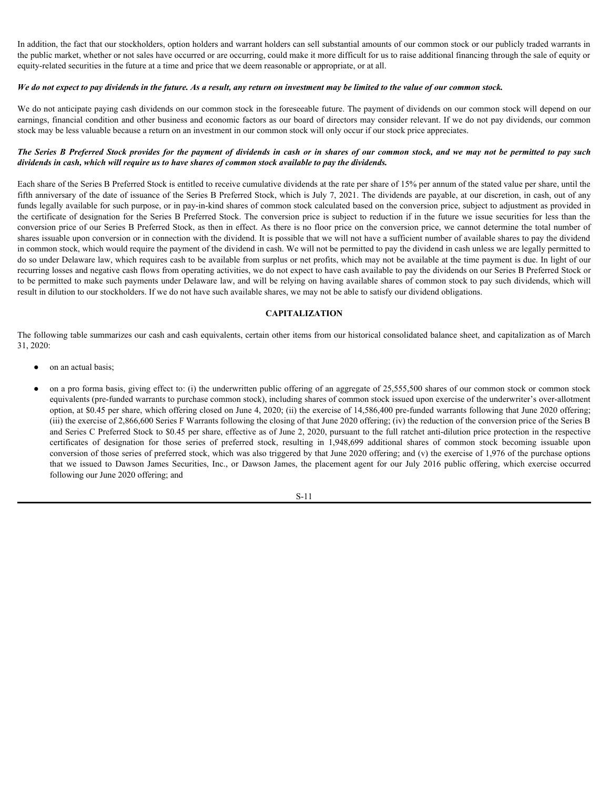In addition, the fact that our stockholders, option holders and warrant holders can sell substantial amounts of our common stock or our publicly traded warrants in the public market, whether or not sales have occurred or are occurring, could make it more difficult for us to raise additional financing through the sale of equity or equity-related securities in the future at a time and price that we deem reasonable or appropriate, or at all.

#### *We do not expect to pay dividends in the future. As a result, any return on investment may be limited to the value of our common stock.*

We do not anticipate paying cash dividends on our common stock in the foreseeable future. The payment of dividends on our common stock will depend on our earnings, financial condition and other business and economic factors as our board of directors may consider relevant. If we do not pay dividends, our common stock may be less valuable because a return on an investment in our common stock will only occur if our stock price appreciates.

# *dividends in cash, which will require us to have shares of common stock available to pay the dividends.*

*In addition, the fact that our stockholders, option holders and warrant holders can sell substantial amounts of our common stock or our publicly traded warrants in the the public market, whether or not sales have occurred* Each share of the Series B Preferred Stock is entitled to receive cumulative dividends at the rate per share of 15% per annum of the stated value per share, until the fifth anniversary of the date of issuance of the Series B Preferred Stock, which is July 7, 2021. The dividends are payable, at our discretion, in cash, out of any funds legally available for such purpose, or in pay-in-kind shares of common stock calculated based on the conversion price, subject to adjustment as provided in the certificate of designation for the Series B Preferred Stock. The conversion price is subject to reduction if in the future we issue securities for less than the conversion price of our Series B Preferred Stock, as then in effect. As there is no floor price on the conversion price, we cannot determine the total number of shares issuable upon conversion or in connection with the dividend. It is possible that we will not have a sufficient number of available shares to pay the dividend in common stock, which would require the payment of the dividend in cash. We will not be permitted to pay the dividend in cash unless we are legally permitted to do so under Delaware law, which requires cash to be available from surplus or net profits, which may not be available at the time payment is due. In light of our recurring losses and negative cash flows from operating activities, we do not expect to have cash available to pay the dividends on our Series B Preferred Stock or to be permitted to make such payments under Delaware law, and will be relying on having available shares of common stock to pay such dividends, which will result in dilution to our stockholders. If we do not have such available shares, we may not be able to satisfy our dividend obligations. fractative certifications and other business and consisted fractions and the certifications and the certifications and the certifications in the stock, the certification in the stock of the properties  $\epsilon$ . **E** *Proferred* the *B* Proferred Suede provides for the payment of dividends in each or in shares of our common stock, and we any not be premitted to py such in each, which will need the effective of controlled to pay the dividends in t

#### <span id="page-14-0"></span>**CAPITALIZATION**

The following table summarizes our cash and cash equivalents, certain other items from our historical consolidated balance sheet, and capitalization as of March 31, 2020:

- on an actual basis;
- on a pro forma basis, giving effect to: (i) the underwritten public offering of an aggregate of 25,555,500 shares of our common stock or common stock equivalents (pre-funded warrants to purchase common stock), including shares of common stock issued upon exercise of the underwriter's over-allotment option, at \$0.45 per share, which offering closed on June 4, 2020; (ii) the exercise of 14,586,400 pre-funded warrants following that June 2020 offering; (iii) the exercise of 2,866,600 Series F Warrants following the closing of that June 2020 offering; (iv) the reduction of the conversion price of the Series B and Series C Preferred Stock to \$0.45 per share, effective as of June 2, 2020, pursuant to the full ratchet anti-dilution price protection in the respective conversion of those series of preferred stock, which was also triggered by that June 2020 offering; and (v) the exercise of 1,976 of the purchase options following our June 2020 offering; and

$$
S-11
$$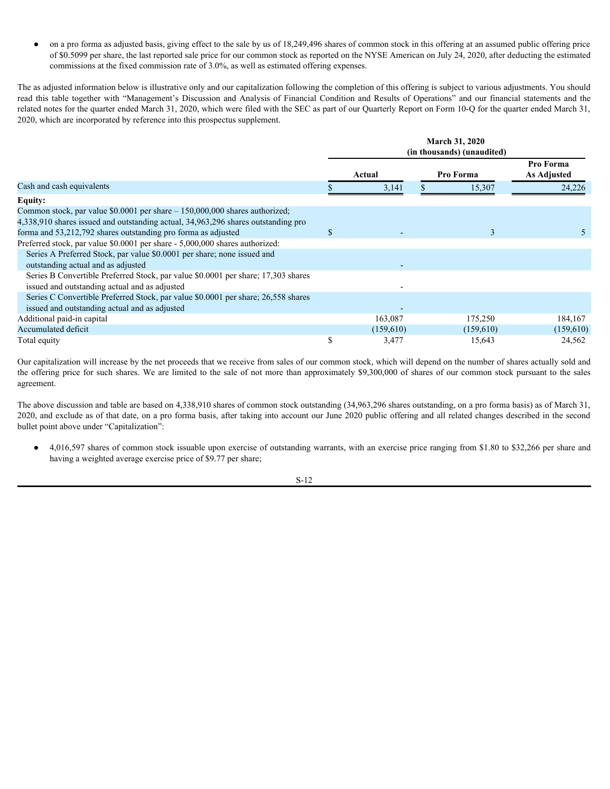| on a pro forma as adjusted basis, giving effect to the sale by us of 18,249,496 shares of common stock in this offering at an assumed public offering price<br>$\bullet$                                                                                                                                                                                                                                              |             |                    |                            |                     |
|-----------------------------------------------------------------------------------------------------------------------------------------------------------------------------------------------------------------------------------------------------------------------------------------------------------------------------------------------------------------------------------------------------------------------|-------------|--------------------|----------------------------|---------------------|
| of \$0.5099 per share, the last reported sale price for our common stock as reported on the NYSE American on July 24, 2020, after deducting the estimated                                                                                                                                                                                                                                                             |             |                    |                            |                     |
| commissions at the fixed commission rate of 3.0%, as well as estimated offering expenses.                                                                                                                                                                                                                                                                                                                             |             |                    |                            |                     |
|                                                                                                                                                                                                                                                                                                                                                                                                                       |             |                    |                            |                     |
|                                                                                                                                                                                                                                                                                                                                                                                                                       |             |                    |                            |                     |
| read this table together with "Management's Discussion and Analysis of Financial Condition and Results of Operations" and our financial statements and the                                                                                                                                                                                                                                                            |             |                    |                            |                     |
|                                                                                                                                                                                                                                                                                                                                                                                                                       |             |                    |                            |                     |
| The as adjusted information below is illustrative only and our capitalization following the completion of this offering is subject to various adjustments. You should<br>related notes for the quarter ended March 31, 2020, which were filed with the SEC as part of our Quarterly Report on Form 10-Q for the quarter ended March 31,<br>2020, which are incorporated by reference into this prospectus supplement. |             |                    |                            |                     |
|                                                                                                                                                                                                                                                                                                                                                                                                                       |             |                    |                            |                     |
|                                                                                                                                                                                                                                                                                                                                                                                                                       |             |                    | March 31, 2020             |                     |
|                                                                                                                                                                                                                                                                                                                                                                                                                       |             |                    | (in thousands) (unaudited) |                     |
|                                                                                                                                                                                                                                                                                                                                                                                                                       |             |                    | Pro Forma                  | Pro Forma           |
|                                                                                                                                                                                                                                                                                                                                                                                                                       |             | Actual             |                            | As Adjusted         |
| Cash and cash equivalents                                                                                                                                                                                                                                                                                                                                                                                             |             | 3,141              | 15,307                     | 24,226              |
| <b>Equity:</b>                                                                                                                                                                                                                                                                                                                                                                                                        |             |                    |                            |                     |
| Common stock, par value \$0.0001 per share - 150,000,000 shares authorized;                                                                                                                                                                                                                                                                                                                                           |             |                    |                            |                     |
| 4,338,910 shares issued and outstanding actual, 34,963,296 shares outstanding pro                                                                                                                                                                                                                                                                                                                                     |             |                    |                            |                     |
| forma and 53,212,792 shares outstanding pro forma as adjusted                                                                                                                                                                                                                                                                                                                                                         | $\mathbf S$ |                    | $\overline{3}$             | 5 <sup>7</sup>      |
| Preferred stock, par value \$0.0001 per share - 5,000,000 shares authorized:                                                                                                                                                                                                                                                                                                                                          |             |                    |                            |                     |
| Series A Preferred Stock, par value \$0.0001 per share; none issued and                                                                                                                                                                                                                                                                                                                                               |             |                    |                            |                     |
| outstanding actual and as adjusted                                                                                                                                                                                                                                                                                                                                                                                    |             |                    |                            |                     |
| Series B Convertible Preferred Stock, par value \$0.0001 per share; 17,303 shares                                                                                                                                                                                                                                                                                                                                     |             |                    |                            |                     |
| issued and outstanding actual and as adjusted                                                                                                                                                                                                                                                                                                                                                                         |             |                    |                            |                     |
| Series C Convertible Preferred Stock, par value \$0.0001 per share; 26,558 shares                                                                                                                                                                                                                                                                                                                                     |             |                    |                            |                     |
| issued and outstanding actual and as adjusted                                                                                                                                                                                                                                                                                                                                                                         |             |                    |                            |                     |
| Additional paid-in capital                                                                                                                                                                                                                                                                                                                                                                                            |             | 163,087            | 175,250                    | 184,167             |
| Accumulated deficit<br>Total equity                                                                                                                                                                                                                                                                                                                                                                                   | \$          | (159,610)<br>3,477 | (159,610)<br>15,643        | (159,610)<br>24,562 |

Our capitalization will increase by the net proceeds that we receive from sales of our common stock, which will depend on the number of shares actually sold and the offering price for such shares. We are limited to the sale of not more than approximately \$9,300,000 of shares of our common stock pursuant to the sales agreement.

The above discussion and table are based on 4,338,910 shares of common stock outstanding (34,963,296 shares outstanding, on a pro forma basis) as of March 31, 2020, and exclude as of that date, on a pro forma basis, after taking into account our June 2020 public offering and all related changes described in the second bullet point above under "Capitalization":

● 4,016,597 shares of common stock issuable upon exercise of outstanding warrants, with an exercise price ranging from \$1.80 to \$32,266 per share and having a weighted average exercise price of \$9.77 per share;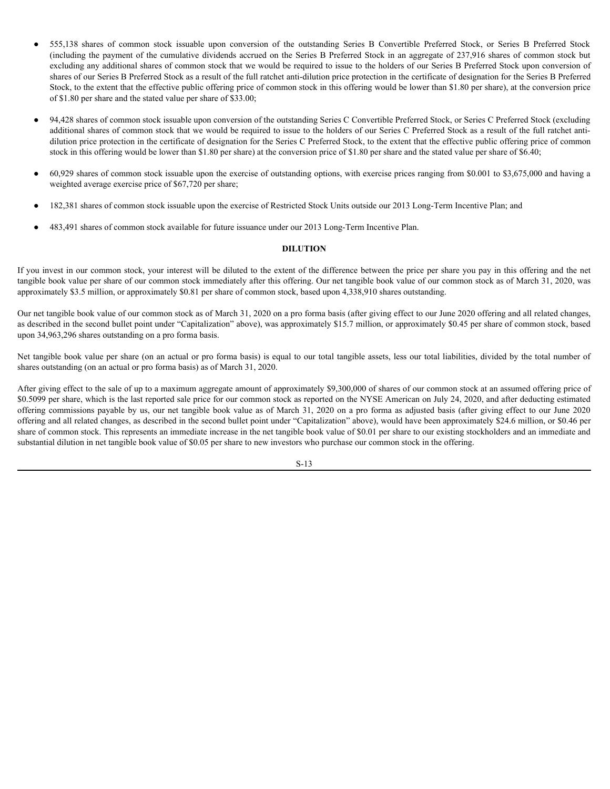- 555,138 shares of common stock issuable upon conversion of the outstanding Series B Convertible Preferred Stock, or Series B Preferred Stock (including the payment of the cumulative dividends accrued on the Series B Pre (including the payment of the cumulative dividends accrued on the Series B Preferred Stock in an aggregate of 237,916 shares of common stock but excluding any additional shares of common stock that we would be required to issue to the holders of our Series B Preferred Stock upon conversion of shares of our Series B Preferred Stock as a result of the full ratchet anti-dilution price protection in the certificate of designation for the Series B Preferred Stock, to the extent that the effective public offering price of common stock in this offering would be lower than \$1.80 per share), at the conversion price of \$1.80 per share and the stated value per share of \$33.00;
- 94,428 shares of common stock issuable upon conversion of the outstanding Series C Convertible Preferred Stock, or Series C Preferred Stock (excluding additional shares of common stock that we would be required to issue to the holders of our Series C Preferred Stock as a result of the full ratchet antidilution price protection in the certificate of designation for the Series C Preferred Stock, to the extent that the effective public offering price of common stock in this offering would be lower than \$1.80 per share) at the conversion price of \$1.80 per share and the stated value per share of \$6.40;
- 60,929 shares of common stock issuable upon the exercise of outstanding options, with exercise prices ranging from \$0.001 to \$3,675,000 and having a weighted average exercise price of \$67,720 per share;
- 182,381 shares of common stock issuable upon the exercise of Restricted Stock Units outside our 2013 Long-Term Incentive Plan; and
- 483,491 shares of common stock available for future issuance under our 2013 Long-Term Incentive Plan.

#### <span id="page-16-0"></span>**DILUTION**

If you invest in our common stock, your interest will be diluted to the extent of the difference between the price per share you pay in this offering and the net tangible book value per share of our common stock immediately after this offering. Our net tangible book value of our common stock as of March 31, 2020, was approximately \$3.5 million, or approximately \$0.81 per share of common stock, based upon 4,338,910 shares outstanding.

Our net tangible book value of our common stock as of March 31, 2020 on a pro forma basis (after giving effect to our June 2020 offering and all related changes, as described in the second bullet point under "Capitalization" above), was approximately \$15.7 million, or approximately \$0.45 per share of common stock, based upon 34,963,296 shares outstanding on a pro forma basis.

Net tangible book value per share (on an actual or pro forma basis) is equal to our total tangible assets, less our total liabilities, divided by the total number of shares outstanding (on an actual or pro forma basis) as of March 31, 2020.

After giving effect to the sale of up to a maximum aggregate amount of approximately \$9,300,000 of shares of our common stock at an assumed offering price of \$0.5099 per share, which is the last reported sale price for our common stock as reported on the NYSE American on July 24, 2020, and after deducting estimated offering commissions payable by us, our net tangible book value as of March 31, 2020 on a pro forma as adjusted basis (after giving effect to our June 2020 offering and all related changes, as described in the second bullet point under "Capitalization" above), would have been approximately \$24.6 million, or \$0.46 per share of common stock. This represents an immediate increase in the net tangible book value of \$0.01 per share to our existing stockholders and an immediate and substantial dilution in net tangible book value of \$0.05 per share to new investors who purchase our common stock in the offering.

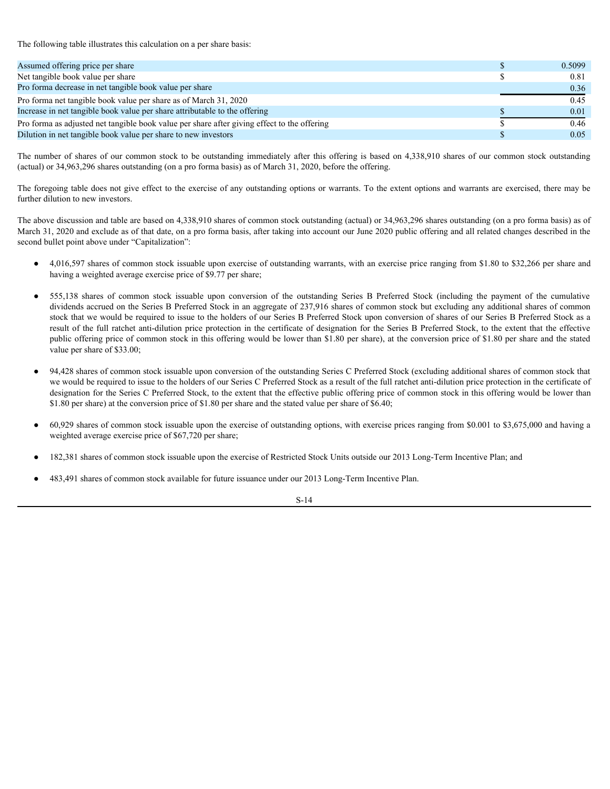| The following table illustrates this calculation on a per share basis:                                                                                                                                                                                                                                                                                                                                                                                                                                                                                                                                                                                                                                                                                                                                                                |    |        |
|---------------------------------------------------------------------------------------------------------------------------------------------------------------------------------------------------------------------------------------------------------------------------------------------------------------------------------------------------------------------------------------------------------------------------------------------------------------------------------------------------------------------------------------------------------------------------------------------------------------------------------------------------------------------------------------------------------------------------------------------------------------------------------------------------------------------------------------|----|--------|
|                                                                                                                                                                                                                                                                                                                                                                                                                                                                                                                                                                                                                                                                                                                                                                                                                                       |    |        |
| Assumed offering price per share                                                                                                                                                                                                                                                                                                                                                                                                                                                                                                                                                                                                                                                                                                                                                                                                      | -S | 0.5099 |
| Net tangible book value per share                                                                                                                                                                                                                                                                                                                                                                                                                                                                                                                                                                                                                                                                                                                                                                                                     | \$ | 0.81   |
| Pro forma decrease in net tangible book value per share                                                                                                                                                                                                                                                                                                                                                                                                                                                                                                                                                                                                                                                                                                                                                                               |    | 0.36   |
| Pro forma net tangible book value per share as of March 31, 2020                                                                                                                                                                                                                                                                                                                                                                                                                                                                                                                                                                                                                                                                                                                                                                      |    | 0.45   |
| Increase in net tangible book value per share attributable to the offering                                                                                                                                                                                                                                                                                                                                                                                                                                                                                                                                                                                                                                                                                                                                                            |    | 0.01   |
| Pro forma as adjusted net tangible book value per share after giving effect to the offering                                                                                                                                                                                                                                                                                                                                                                                                                                                                                                                                                                                                                                                                                                                                           |    | 0.46   |
| Dilution in net tangible book value per share to new investors                                                                                                                                                                                                                                                                                                                                                                                                                                                                                                                                                                                                                                                                                                                                                                        |    | 0.05   |
| The number of shares of our common stock to be outstanding immediately after this offering is based on 4,338,910 shares of our common stock outstanding<br>(actual) or 34,963,296 shares outstanding (on a pro forma basis) as of March 31, 2020, before the offering.                                                                                                                                                                                                                                                                                                                                                                                                                                                                                                                                                                |    |        |
| The foregoing table does not give effect to the exercise of any outstanding options or warrants. To the extent options and warrants are exercised, there may be<br>further dilution to new investors.                                                                                                                                                                                                                                                                                                                                                                                                                                                                                                                                                                                                                                 |    |        |
| The above discussion and table are based on 4,338,910 shares of common stock outstanding (actual) or 34,963,296 shares outstanding (on a pro forma basis) as of<br>March 31, 2020 and exclude as of that date, on a pro forma basis, after taking into account our June 2020 public offering and all related changes described in the<br>second bullet point above under "Capitalization":                                                                                                                                                                                                                                                                                                                                                                                                                                            |    |        |
| 4,016,597 shares of common stock issuable upon exercise of outstanding warrants, with an exercise price ranging from \$1.80 to \$32,266 per share and<br>having a weighted average exercise price of \$9.77 per share;                                                                                                                                                                                                                                                                                                                                                                                                                                                                                                                                                                                                                |    |        |
| 555,138 shares of common stock issuable upon conversion of the outstanding Series B Preferred Stock (including the payment of the cumulative<br>$\bullet$<br>dividends accrued on the Series B Preferred Stock in an aggregate of 237,916 shares of common stock but excluding any additional shares of common<br>stock that we would be required to issue to the holders of our Series B Preferred Stock upon conversion of shares of our Series B Preferred Stock as a<br>result of the full ratchet anti-dilution price protection in the certificate of designation for the Series B Preferred Stock, to the extent that the effective<br>public offering price of common stock in this offering would be lower than \$1.80 per share), at the conversion price of \$1.80 per share and the stated<br>value per share of \$33.00; |    |        |
|                                                                                                                                                                                                                                                                                                                                                                                                                                                                                                                                                                                                                                                                                                                                                                                                                                       |    |        |

- 4,016,597 shares of common stock issuable upon exercise of outstanding warrants, with an exercise price ranging from \$1.80 to \$32,266 per share and having a weighted average exercise price of \$9.77 per share;
- dividends accrued on the Series B Preferred Stock in an aggregate of 237,916 shares of common stock but excluding any additional shares of common stock that we would be required to issue to the holders of our Series B Preferred Stock upon conversion of shares of our Series B Preferred Stock as a result of the full ratchet anti-dilution price protection in the certificate of designation for the Series B Preferred Stock, to the extent that the effective public offering price of common stock in this offering would be lower than \$1.80 per share), at the conversion price of \$1.80 per share and the stated value per share of \$33.00;
- 94,428 shares of common stock issuable upon conversion of the outstanding Series C Preferred Stock (excluding additional shares of common stock that we would be required to issue to the holders of our Series C Preferred Stock as a result of the full ratchet anti-dilution price protection in the certificate of designation for the Series C Preferred Stock, to the extent that the effective public offering price of common stock in this offering would be lower than \$1.80 per share) at the conversion price of \$1.80 per share and the stated value per share of \$6.40;
- 60,929 shares of common stock issuable upon the exercise of outstanding options, with exercise prices ranging from \$0.001 to \$3,675,000 and having a weighted average exercise price of \$67,720 per share;
- 182,381 shares of common stock issuable upon the exercise of Restricted Stock Units outside our 2013 Long-Term Incentive Plan; and
- 483,491 shares of common stock available for future issuance under our 2013 Long-Term Incentive Plan.

S-14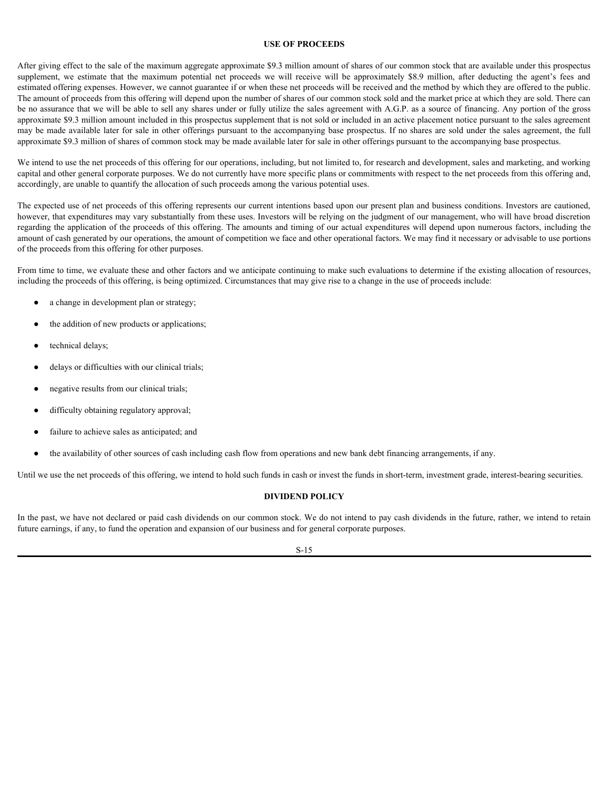#### <span id="page-18-0"></span>**USE OF PROCEEDS**

After giving effect to the sale of the maximum aggregate approximate \$9.3 million amount of shares of our common stock that are available under this prospectus **EXE OF PROCEEDS**<br>After giving effect to the sale of the maximum aggregate approximate \$9.3 million amount of shares of our common stock that are available under this prospectus<br>supplement, we estimate that the maximum pot estimated offering expenses. However, we cannot guarantee if or when these net proceeds will be received and the method by which they are offered to the public. The amount of proceeds from this offering will depend upon the number of shares of our common stock sold and the market price at which they are sold. There can be no assurance that we will be able to sell any shares under or fully utilize the sales agreement with A.G.P. as a source of financing. Any portion of the gross approximate \$9.3 million amount included in this prospectus supplement that is not sold or included in an active placement notice pursuant to the sales agreement may be made available later for sale in other offerings pursuant to the accompanying base prospectus. If no shares are sold under the sales agreement, the full approximate \$9.3 million of shares of common stock may be made available later for sale in other offerings pursuant to the accompanying base prospectus.

We intend to use the net proceeds of this offering for our operations, including, but not limited to, for research and development, sales and marketing, and working capital and other general corporate purposes. We do not currently have more specific plans or commitments with respect to the net proceeds from this offering and, accordingly, are unable to quantify the allocation of such proceeds among the various potential uses.

The expected use of net proceeds of this offering represents our current intentions based upon our present plan and business conditions. Investors are cautioned, however, that expenditures may vary substantially from these uses. Investors will be relying on the judgment of our management, who will have broad discretion regarding the application of the proceeds of this offering. The amounts and timing of our actual expenditures will depend upon numerous factors, including the amount of cash generated by our operations, the amount of competition we face and other operational factors. We may find it necessary or advisable to use portions of the proceeds from this offering for other purposes.

From time to time, we evaluate these and other factors and we anticipate continuing to make such evaluations to determine if the existing allocation of resources, including the proceeds of this offering, is being optimized. Circumstances that may give rise to a change in the use of proceeds include:

- a change in development plan or strategy;
- the addition of new products or applications;
- technical delays;
- delays or difficulties with our clinical trials;
- negative results from our clinical trials;
- difficulty obtaining regulatory approval;
- failure to achieve sales as anticipated; and
- the availability of other sources of cash including cash flow from operations and new bank debt financing arrangements, if any.

Until we use the net proceeds of this offering, we intend to hold such funds in cash or invest the funds in short-term, investment grade, interest-bearing securities.

#### <span id="page-18-1"></span>**DIVIDEND POLICY**

In the past, we have not declared or paid cash dividends on our common stock. We do not intend to pay cash dividends in the future, rather, we intend to retain future earnings, if any, to fund the operation and expansion of our business and for general corporate purposes.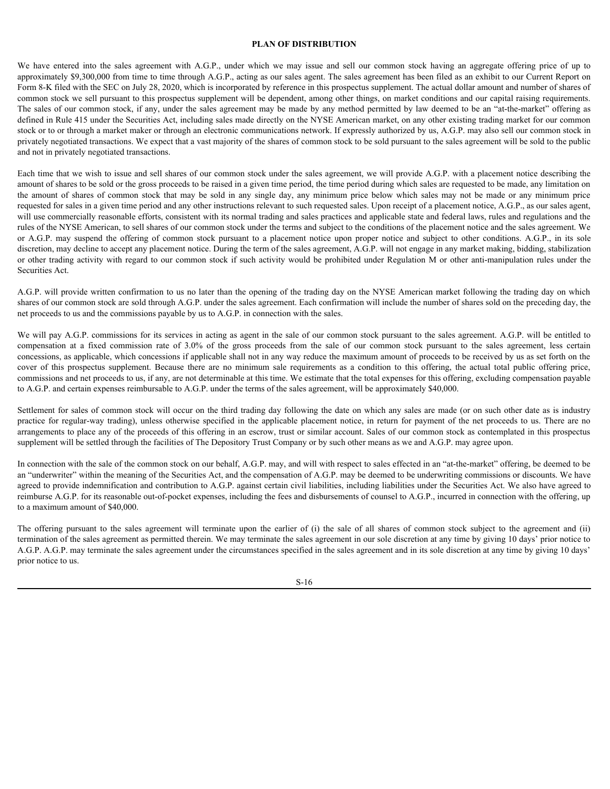#### <span id="page-19-0"></span>**PLAN OF DISTRIBUTION**

**PLAN OF DISTRIBUTION**<br> **PLAN OF DISTRIBUTION**<br> **EXECUTE AN AGO COM** from the to time trough A.G.P., under which we may issue and sell our common stock having an aggregate offering price of up to<br> **approximately** \$9,300,00 approximately \$9,300,000 from time to time through A.G.P., acting as our sales agent. The sales agreement has been filed as an exhibit to our Current Report on Form 8-K filed with the SEC on July 28, 2020, which is incorporated by reference in this prospectus supplement. The actual dollar amount and number of shares of common stock we sell pursuant to this prospectus supplement will be dependent, among other things, on market conditions and our capital raising requirements. The sales of our common stock, if any, under the sales agreement may be made by any method permitted by law deemed to be an "at-the-market" offering as defined in Rule 415 under the Securities Act, including sales made directly on the NYSE American market, on any other existing trading market for our common stock or to or through a market maker or through an electronic communications network. If expressly authorized by us, A.G.P. may also sell our common stock in privately negotiated transactions. We expect that a vast majority of the shares of common stock to be sold pursuant to the sales agreement will be sold to the public and not in privately negotiated transactions.

Each time that we wish to issue and sell shares of our common stock under the sales agreement, we will provide A.G.P. with a placement notice describing the amount of shares to be sold or the gross proceeds to be raised in a given time period, the time period during which sales are requested to be made, any limitation on **PLAN OF DISTRIBUTION**<br>**PLAN OF DISTRIBUTION**<br>**Examplementative SSUS amount of the SEC and in Section 10.12, and in a summer stock in a select that in any instead of the shares approximated by any any any single or in a s** requested for sales in a given time period and any other instructions relevant to such requested sales. Upon receipt of a placement notice, A.G.P., as our sales agent, will use commercially reasonable efforts, consistent with its normal trading and sales practices and applicable state and federal laws, rules and regulations and the rules of the NYSE American, to sell shares of our common stock under the terms and subject to the conditions of the placement notice and the sales agreement. We **PLAN OF DISTRIBUTION**<br>**PLAN OF DISTRIBUTION**<br>**Suppose the SUP of the SUP of the SUP of the SUP of the Comparably A GP**, attack we may issue and sell of r common stock having an agregator of the common stead particles are discretion, may decline to accept any placement notice. During the term of the sales agreement, A.G.P. will not engage in any market making, bidding, stabilization **FLAN OF DISTRIBUTION**<br>**PLAN OF DISTRIBUTION**<br>**Source:** The significant of the main to its commonly activity with regard to our common stock having an aggregate offering price of up to<br>proposition from this to find the man Securities Act. **EVEN EXECUTES**<br>**PLAN OF DESTREETIESY**<br>**EXECUTE CONDENSATION**<br>**EXECUTES CONDENSATION**<br>**EXECUTES CONDENSATION** CONDENSATION CONTROL AT THE SECUTE TO THE SECURE CONDENSATION CONTROL AT THE SECURE SECURE THE SALES CONDENSATI **ELAN OF DISTRIBUTION**<br>**ELAN OF DERIMENTION**<br>**Suppose the constrained with AGP, under which we may insee and sell our constrained his because the base of the constrained by a constrained by our Current Report on<br>the subse** common stock we stall particle to the properties in the decision will be dependent in the offer regular controlling in the application in the application in the application in the application in the specified in the 415 me requestion at a fixed consistent of the offer interview is not intervent to the consistent of the sales agreement of the New York is a set to the original state. To the sales agreement of the New York A.O.P. as well sate t

A.G.P. will provide written confirmation to us no later than the opening of the trading day on the NYSE American market following the trading day on which shares of our common stock are sold through A.G.P. under the sales agreement. Each confirmation will include the number of shares sold on the preceding day, the net proceeds to us and the commissions payable by us to A.G.P. in connection with the sales.

We will pay A.G.P. commissions for its services in acting as agent in the sale of our common stock pursuant to the sales agreement. A.G.P. will be entitled to concessions, as applicable, which concessions if applicable shall not in any way reduce the maximum amount of proceeds to be received by us as set forth on the commissions and net proceeds to us, if any, are not determinable at this time. We estimate that the total expenses for this offering, excluding compensation payable to A.G.P. and certain expenses reimbursable to A.G.P. under the terms of the sales agreement, will be approximately \$40,000.

Settlement for sales of common stock will occur on the third trading day following the date on which any sales are made (or on such other date as is industry arrangements to place any of the proceeds of this offering in an escrow, trust or similar account. Sales of our common stock as contemplated in this prospectus supplement will be settled through the facilities of The Depository Trust Company or by such other means as we and A.G.P. may agree upon.

In connection with the sale of the common stock on our behalf, A.G.P. may, and will with respect to sales effected in an "at-the-market" offering, be deemed to be an "underwriter" within the meaning of the Securities Act, and the compensation of A.G.P. may be deemed to be underwriting commissions or discounts. We have agreed to provide indemnification and contribution to A.G.P. against certain civil liabilities, including liabilities under the Securities Act. We also have agreed to reimburse A.G.P. for its reasonable out-of-pocket expenses, including the fees and disbursements of counsel to A.G.P., incurred in connection with the offering, up to a maximum amount of \$40,000.

termination of the sales agreement as permitted therein. We may terminate the sales agreement in our sole discretion at any time by giving 10 days' prior notice to A.G.P. A.G.P. may terminate the sales agreement under the circumstances specified in the sales agreement and in its sole discretion at any time by giving 10 days' prior notice to us.

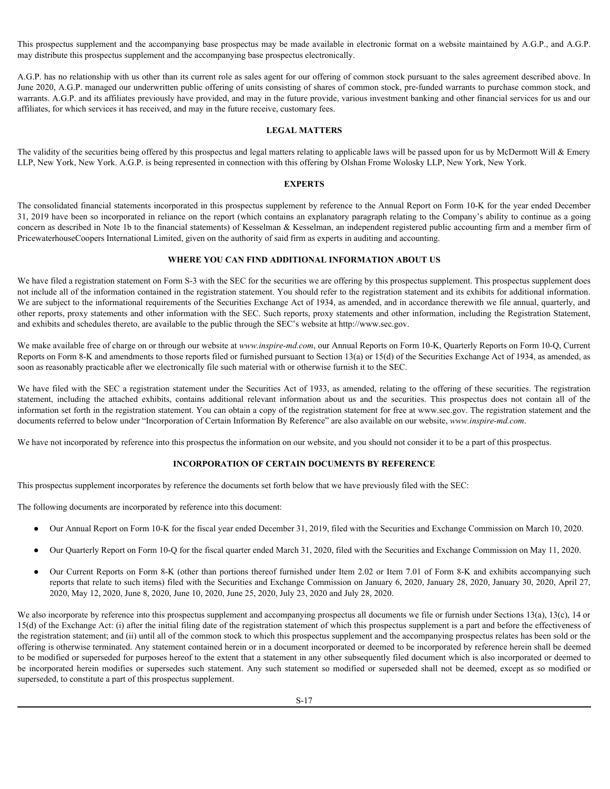This prospectus supplement and the accompanying base prospectus may be made available in electronic format on a website maintained by A.G.P., and A.G.P. may distribute this prospectus supplement and the accompanying base prospectus electronically.

A.G.P. has no relationship with us other than its current role as sales agent for our offering of common stock pursuant to the sales agreement described above. In June 2020, A.G.P. managed our underwritten public offering of units consisting of shares of common stock, pre-funded warrants to purchase common stock, and warrants. A.G.P. and its affiliates previously have provided, and may in the future provide, various investment banking and other financial services for us and our affiliates, for which services it has received, and may in the future receive, customary fees.

#### <span id="page-20-0"></span>**LEGAL MATTERS**

The validity of the securities being offered by this prospectus and legal matters relating to applicable laws will be passed upon for us by McDermott Will  $\&$  Emery LLP, New York, New York. A.G.P. is being represented in connection with this offering by Olshan Frome Wolosky LLP, New York, New York.

#### <span id="page-20-1"></span>**EXPERTS**

The consolidated financial statements incorporated in this prospectus supplement by reference to the Annual Report on Form 10-K for the year ended December 31, 2019 have been so incorporated in reliance on the report (which contains an explanatory paragraph relating to the Company's ability to continue as a going concern as described in Note 1b to the financial statements) of Kesselman & Kesselman, an independent registered public accounting firm and a member firm of PricewaterhouseCoopers International Limited, given on the authority of said firm as experts in auditing and accounting.

#### <span id="page-20-2"></span>**WHERE YOU CAN FIND ADDITIONAL INFORMATION ABOUT US**

We have filed a registration statement on Form S-3 with the SEC for the securities we are offering by this prospectus supplement. This prospectus supplement does not include all of the information contained in the registration statement. You should refer to the registration statement and its exhibits for additional information. We are subject to the informational requirements of the Securities Exchange Act of 1934, as amended, and in accordance therewith we file annual, quarterly, and other reports, proxy statements and other information with the SEC. Such reports, proxy statements and other information, including the Registration Statement, and exhibits and schedules thereto, are available to the public through the SEC's website at http://www.sec.gov. A CP has relationly as in a columbical state and the relevant the helio and the relevant of the relevant of the base and the relevant for exhibits and the metally about the securities of the securities and a securities and

We make available free of charge on or through our website at *www.inspire-md.com*, our Annual Reports on Form 10-K, Quarterly Reports on Form 10-Q, Current Reports on Form 8-K and amendments to those reports filed or furnished pursuant to Section 13(a) or 15(d) of the Securities Exchange Act of 1934, as amended, as soon as reasonably practicable after we electronically file such material with or otherwise furnish it to the SEC.

We have filed with the SEC a registration statement under the Securities Act of 1933, as amended, relating to the offering of these securities. The registration information set forth in the registration statement. You can obtain a copy of the registration statement for free at www.sec.gov. The registration statement and the documents referred to below under "Incorporation of Certain Information By Reference" are also available on our website, *www.inspire-md.com*.

We have not incorporated by reference into this prospectus the information on our website, and you should not consider it to be a part of this prospectus.

#### <span id="page-20-3"></span>**INCORPORATION OF CERTAIN DOCUMENTS BY REFERENCE**

This prospectus supplement incorporates by reference the documents set forth below that we have previously filed with the SEC:

The following documents are incorporated by reference into this document:

- Our Annual Report on Form 10-K for the fiscal year ended December 31, 2019, filed with the Securities and Exchange Commission on March 10, 2020.
- Our Quarterly Report on Form 10-Q for the fiscal quarter ended March 31, 2020, filed with the Securities and Exchange Commission on May 11, 2020.
- Our Current Reports on Form 8-K (other than portions thereof furnished under Item 2.02 or Item 7.01 of Form 8-K and exhibits accompanying such reports that relate to such items) filed with the Securities and Exchange Commission on January 6, 2020, January 28, 2020, January 30, 2020, April 27, 2020, May 12, 2020, June 8, 2020, June 10, 2020, June 25, 2020, July 23, 2020 and July 28, 2020.

We also incorporate by reference into this prospectus supplement and accompanying prospectus all documents we file or furnish under Sections 13(a), 13(c), 14 or 15(d) of the Exchange Act: (i) after the initial filing date of the registration statement of which this prospectus supplement is a part and before the effectiveness of the registration statement; and (ii) until all of the common stock to which this prospectus supplement and the accompanying prospectus relates has been sold or the offering is otherwise terminated. Any statement contained herein or in a document incorporated or deemed to be incorporated by reference herein shall be deemed to be modified or superseded for purposes hereof to the extent that a statement in any other subsequently filed document which is also incorporated or deemed to We must exact the probability the model of the model is a two statement of modifies (partners of rememberships that the subsect of the modifies the such statement of the modifies properties the forest such as the such sta superseded, to constitute a part of this prospectus supplement.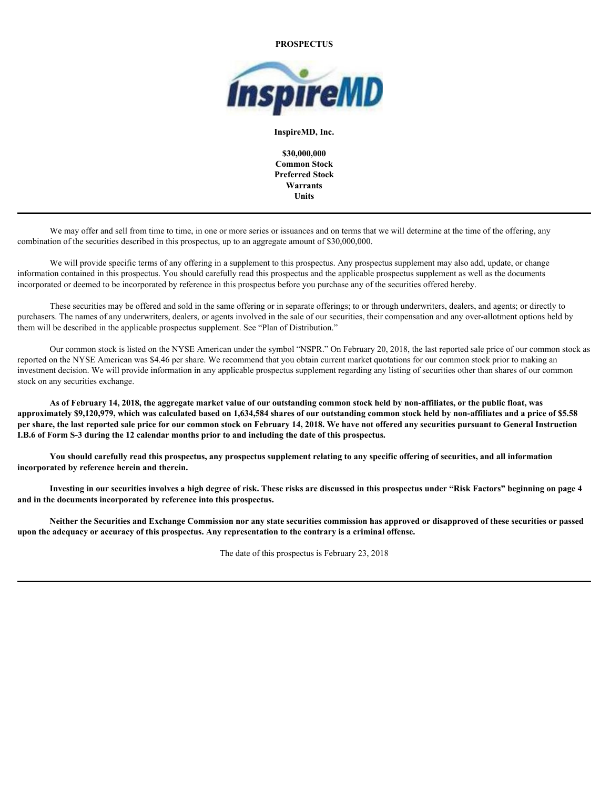#### **PROSPECTUS**



**InspireMD, Inc.**

**\$30,000,000 Common Stock Preferred Stock Warrants Units**

We may offer and sell from time to time, in one or more series or issuances and on terms that we will determine at the time of the offering, any combination of the securities described in this prospectus, up to an aggregate amount of \$30,000,000.

We will provide specific terms of any offering in a supplement to this prospectus. Any prospectus supplement may also add, update, or change information contained in this prospectus. You should carefully read this prospectus and the applicable prospectus supplement as well as the documents incorporated or deemed to be incorporated by reference in this prospectus before you purchase any of the securities offered hereby.

These securities may be offered and sold in the same offering or in separate offerings; to or through underwriters, dealers, and agents; or directly to purchasers. The names of any underwriters, dealers, or agents involved in the sale of our securities, their compensation and any over-allotment options held by them will be described in the applicable prospectus supplement. See "Plan of Distribution."

Our common stock is listed on the NYSE American under the symbol "NSPR." On February 20, 2018, the last reported sale price of our common stock as reported on the NYSE American was \$4.46 per share. We recommend that you obtain current market quotations for our common stock prior to making an investment decision. We will provide information in any applicable prospectus supplement regarding any listing of securities other than shares of our common stock on any securities exchange.

**As of February 14, 2018, the aggregate market value of our outstanding common stock held by non-affiliates, or the public float, was approximately \$9,120,979, which was calculated based on 1,634,584 shares of our outstanding common stock held by non-affiliates and a price of \$5.58 per share, the last reported sale price for our common stock on February 14, 2018. We have not offered any securities pursuant to General Instruction I.B.6 of Form S-3 during the 12 calendar months prior to and including the date of this prospectus.**

**You should carefully read this prospectus, any prospectus supplement relating to any specific offering of securities, and all information incorporated by reference herein and therein.**

**Investing in our securities involves a high degree of risk. These risks are discussed in this prospectus under "Risk Factors" beginning on page 4 and in the documents incorporated by reference into this prospectus.**

**Neither the Securities and Exchange Commission nor any state securities commission has approved or disapproved of these securities or passed upon the adequacy or accuracy of this prospectus. Any representation to the contrary is a criminal offense.**

The date of this prospectus is February 23, 2018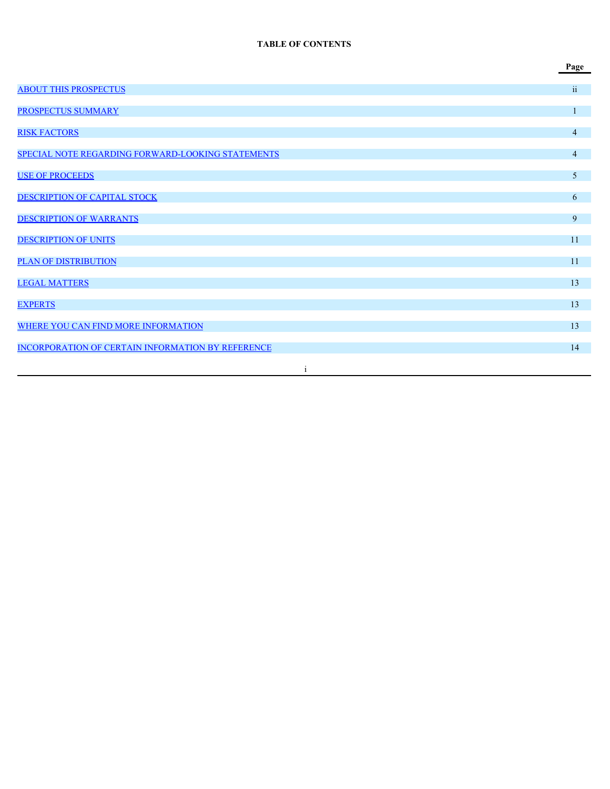#### **TABLE OF CONTENTS**

|                                                   | Page           |
|---------------------------------------------------|----------------|
| <b>ABOUT THIS PROSPECTUS</b>                      | ii             |
| PROSPECTUS SUMMARY                                | $\mathbf{1}$   |
| <b>RISK FACTORS</b>                               | $\overline{4}$ |
| SPECIAL NOTE REGARDING FORWARD-LOOKING STATEMENTS | $\overline{4}$ |
| <b>USE OF PROCEEDS</b>                            | 5 <sup>5</sup> |
| DESCRIPTION OF CAPITAL STOCK                      | 6 <sup>1</sup> |
| <b>DESCRIPTION OF WARRANTS</b>                    | 9 <sup>°</sup> |
| <b>DESCRIPTION OF UNITS</b>                       | 11             |
| PLAN OF DISTRIBUTION                              | $11\,$         |
| <b>LEGAL MATTERS</b>                              | 13             |
| <b>EXPERTS</b>                                    | 13             |
| WHERE YOU CAN FIND MORE INFORMATION               | 13             |
| INCORPORATION OF CERTAIN INFORMATION BY REFERENCE | 14             |
|                                                   |                |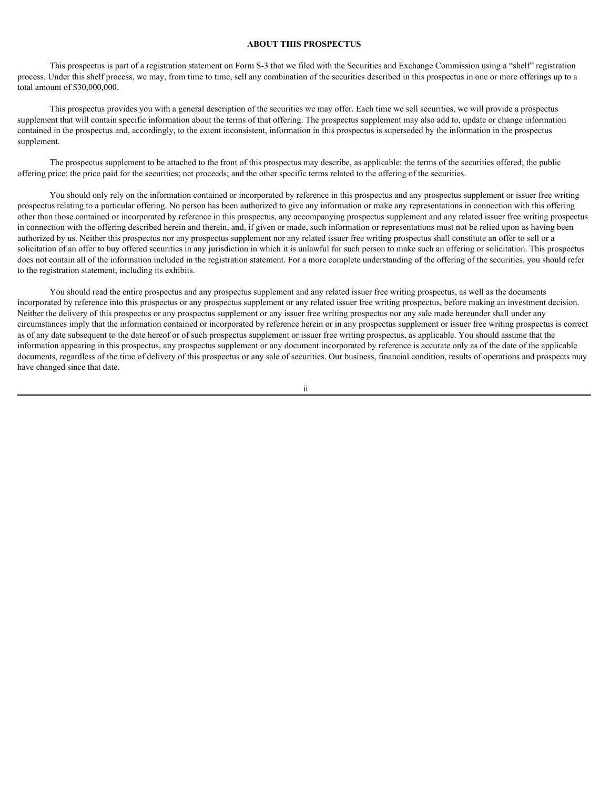#### <span id="page-23-0"></span>**ABOUT THIS PROSPECTUS**

This prospectus is part of a registration statement on Form S-3 that we filed with the Securities and Exchange Commission using a "shelf" registration process. Under this shelf process, we may, from time to time, sell any combination of the securities described in this prospectus in one or more offerings up to a total amount of \$30,000,000.

This prospectus provides you with a general description of the securities we may offer. Each time we sell securities, we will provide a prospectus supplement that will contain specific information about the terms of that offering. The prospectus supplement may also add to, update or change information contained in the prospectus and, accordingly, to the extent inconsistent, information in this prospectus is superseded by the information in the prospectus supplement.

The prospectus supplement to be attached to the front of this prospectus may describe, as applicable: the terms of the securities offered; the public offering price; the price paid for the securities; net proceeds; and the other specific terms related to the offering of the securities.

You should only rely on the information contained or incorporated by reference in this prospectus and any prospectus supplement or issuer free writing prospectus relating to a particular offering. No person has been authorized to give any information or make any representations in connection with this offering other than those contained or incorporated by reference in this prospectus, any accompanying prospectus supplement and any related issuer free writing prospectus in connection with the offering described herein and therein, and, if given or made, such information or representations must not be relied upon as having been authorized by us. Neither this prospectus nor any prospectus supplement nor any related issuer free writing prospectus shall constitute an offer to sell or a solicitation of an offer to buy offered securities in any jurisdiction in which it is unlawful for such person to make such an offering or solicitation. This prospectus does not contain all of the information included in the registration statement. For a more complete understanding of the offering of the securities, you should refer to the registration statement, including its exhibits.

You should read the entire prospectus and any prospectus supplement and any related issuer free writing prospectus, as well as the documents incorporated by reference into this prospectus or any prospectus supplement or any related issuer free writing prospectus, before making an investment decision. Neither the delivery of this prospectus or any prospectus supplement or any issuer free writing prospectus nor any sale made hereunder shall under any circumstances imply that the information contained or incorporated by reference herein or in any prospectus supplement or issuer free writing prospectus is correct as of any date subsequent to the date hereof or of such prospectus supplement or issuer free writing prospectus, as applicable. You should assume that the information appearing in this prospectus, any prospectus supplement or any document incorporated by reference is accurate only as of the date of the applicable documents, regardless of the time of delivery of this prospectus or any sale of securities. Our business, financial condition, results of operations and prospects may have changed since that date.

ii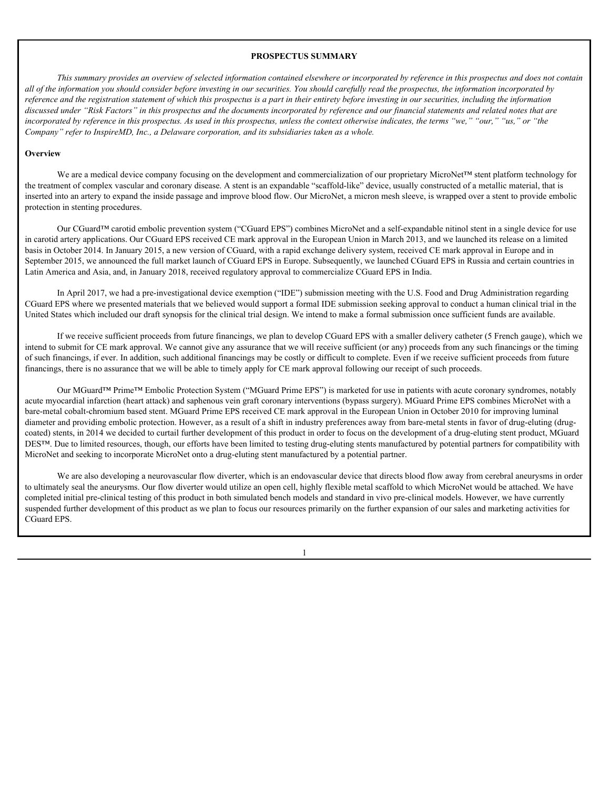#### <span id="page-24-0"></span>**PROSPECTUS SUMMARY**

*This summary provides an overview of selected information contained elsewhere or incorporated by reference in this prospectus and does not contain all of the information you should consider before investing in our securities. You should carefully read the prospectus, the information incorporated by reference and the registration statement of which this prospectus is a part in their entirety before investing in our securities, including the information discussed under "Risk Factors" in this prospectus and the documents incorporated by reference and our financial statements and related notes that are incorporated by reference in this prospectus. As used in this prospectus, unless the context otherwise indicates, the terms "we," "our," "us," or "the Company" refer to InspireMD, Inc., a Delaware corporation, and its subsidiaries taken as a whole.*

#### **Overview Overview** *COVERS <b>COVERS*

We are a medical device company focusing on the development and commercialization of our proprietary MicroNet™ stent platform technology for the treatment of complex vascular and coronary disease. A stent is an expandable "scaffold-like" device, usually constructed of a metallic material, that is inserted into an artery to expand the inside passage and improve blood flow. Our MicroNet, a micron mesh sleeve, is wrapped over a stent to provide embolic protection in stenting procedures.

Our CGuard™ carotid embolic prevention system ("CGuard EPS") combines MicroNet and a self-expandable nitinol stent in a single device for use in carotid artery applications. Our CGuard EPS received CE mark approval in the European Union in March 2013, and we launched its release on a limited basis in October 2014. In January 2015, a new version of CGuard, with a rapid exchange delivery system, received CE mark approval in Europe and in September 2015, we announced the full market launch of CGuard EPS in Europe. Subsequently, we launched CGuard EPS in Russia and certain countries in Latin America and Asia, and, in January 2018, received regulatory approval to commercialize CGuard EPS in India.

In April 2017, we had a pre-investigational device exemption ("IDE") submission meeting with the U.S. Food and Drug Administration regarding CGuard EPS where we presented materials that we believed would support a formal IDE submission seeking approval to conduct a human clinical trial in the United States which included our draft synopsis for the clinical trial design. We intend to make a formal submission once sufficient funds are available.

If we receive sufficient proceeds from future financings, we plan to develop CGuard EPS with a smaller delivery catheter (5 French gauge), which we intend to submit for CE mark approval. We cannot give any assurance that we will receive sufficient (or any) proceeds from any such financings or the timing of such financings, if ever. In addition, such additional financings may be costly or difficult to complete. Even if we receive sufficient proceeds from future financings, there is no assurance that we will be able to timely apply for CE mark approval following our receipt of such proceeds.

Our MGuard™ Prime™ Embolic Protection System ("MGuard Prime EPS") is marketed for use in patients with acute coronary syndromes, notably acute myocardial infarction (heart attack) and saphenous vein graft coronary interventions (bypass surgery). MGuard Prime EPS combines MicroNet with a bare-metal cobalt-chromium based stent. MGuard Prime EPS received CE mark approval in the European Union in October 2010 for improving luminal diameter and providing embolic protection. However, as a result of a shift in industry preferences away from bare-metal stents in favor of drug-eluting (drugcoated) stents, in 2014 we decided to curtail further development of this product in order to focus on the development of a drug-eluting stent product, MGuard DES™. Due to limited resources, though, our efforts have been limited to testing drug-eluting stents manufactured by potential partners for compatibility with MicroNet and seeking to incorporate MicroNet onto a drug-eluting stent manufactured by a potential partner.

We are also developing a neurovascular flow diverter, which is an endovascular device that directs blood flow away from cerebral aneurysms in order to ultimately seal the aneurysms. Our flow diverter would utilize an open cell, highly flexible metal scaffold to which MicroNet would be attached. We have completed initial pre-clinical testing of this product in both simulated bench models and standard in vivo pre-clinical models. However, we have currently suspended further development of this product as we plan to focus our resources primarily on the further expansion of our sales and marketing activities for CGuard EPS.

1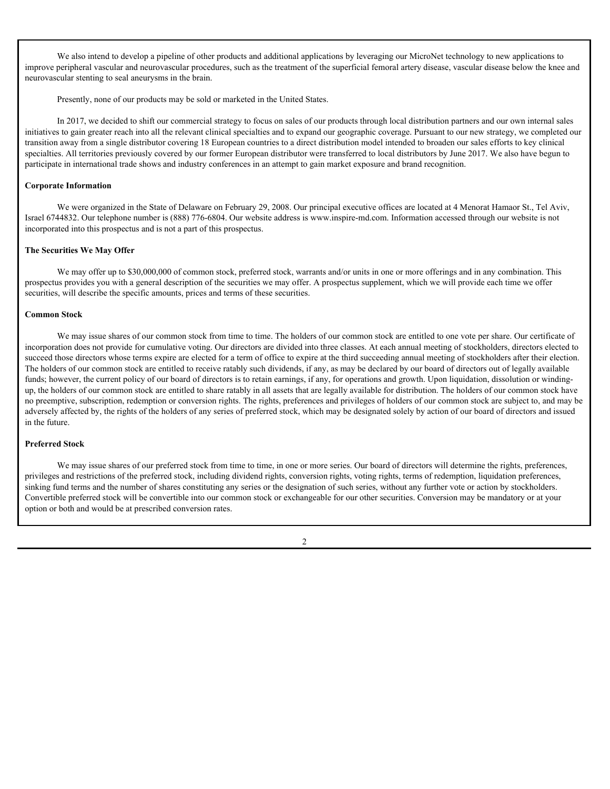We also intend to develop a pipeline of other products and additional applications by leveraging our MicroNet technology to new applications to improve peripheral vascular and neurovascular procedures, such as the treatment of the superficial femoral artery disease, vascular disease below the knee and neurovascular stenting to seal aneurysms in the brain.

Presently, none of our products may be sold or marketed in the United States.

In 2017, we decided to shift our commercial strategy to focus on sales of our products through local distribution partners and our own internal sales initiatives to gain greater reach into all the relevant clinical specialties and to expand our geographic coverage. Pursuant to our new strategy, we completed our transition away from a single distributor covering 18 European countries to a direct distribution model intended to broaden our sales efforts to key clinical specialties. All territories previously covered by our former European distributor were transferred to local distributors by June 2017. We also have begun to participate in international trade shows and industry conferences in an attempt to gain market exposure and brand recognition.

#### **Corporate Information**

We were organized in the State of Delaware on February 29, 2008. Our principal executive offices are located at 4 Menorat Hamaor St., Tel Aviv, Israel 6744832. Our telephone number is (888) 776-6804. Our website address is www.inspire-md.com. Information accessed through our website is not incorporated into this prospectus and is not a part of this prospectus.

#### **The Securities We May Offer**

We may offer up to \$30,000,000 of common stock, preferred stock, warrants and/or units in one or more offerings and in any combination. This prospectus provides you with a general description of the securities we may offer. A prospectus supplement, which we will provide each time we offer securities, will describe the specific amounts, prices and terms of these securities.

#### **Common Stock**

We may issue shares of our common stock from time to time. The holders of our common stock are entitled to one vote per share. Our certificate of incorporation does not provide for cumulative voting. Our directors are divided into three classes. At each annual meeting of stockholders, directors elected to succeed those directors whose terms expire are elected for a term of office to expire at the third succeeding annual meeting of stockholders after their election. The holders of our common stock are entitled to receive ratably such dividends, if any, as may be declared by our board of directors out of legally available funds; however, the current policy of our board of directors is to retain earnings, if any, for operations and growth. Upon liquidation, dissolution or windingup, the holders of our common stock are entitled to share ratably in all assets that are legally available for distribution. The holders of our common stock have no preemptive, subscription, redemption or conversion rights. The rights, preferences and privileges of holders of our common stock are subject to, and may be adversely affected by, the rights of the holders of any series of preferred stock, which may be designated solely by action of our board of directors and issued in the future.

#### **Preferred Stock**

We may issue shares of our preferred stock from time to time, in one or more series. Our board of directors will determine the rights, preferences, privileges and restrictions of the preferred stock, including dividend rights, conversion rights, voting rights, terms of redemption, liquidation preferences, sinking fund terms and the number of shares constituting any series or the designation of such series, without any further vote or action by stockholders. Convertible preferred stock will be convertible into our common stock or exchangeable for our other securities. Conversion may be mandatory or at your option or both and would be at prescribed conversion rates.

 $\mathfrak{Z}$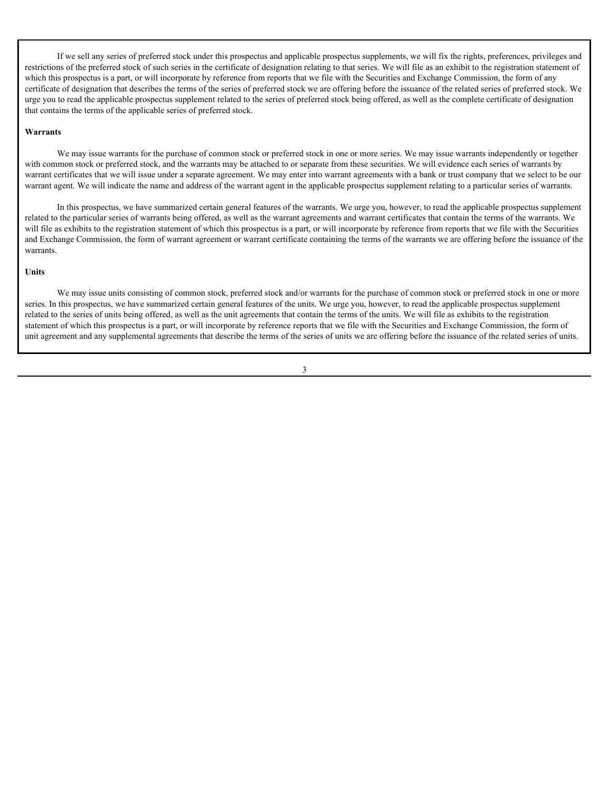If we sell any series of preferred stock under this prospectus and applicable prospectus supplements, we will fix the rights, preferences, privileges and restrictions of the preferred stock of such series in the certificate of designation relating to that series. We will file as an exhibit to the registration statement of which this prospectus is a part, or will incorporate by reference from reports that we file with the Securities and Exchange Commission, the form of any certificate of designation that describes the terms of the series of preferred stock we are offering before the issuance of the related series of preferred stock. We urge you to read the applicable prospectus supplement related to the series of preferred stock being offered, as well as the complete certificate of designation that contains the terms of the applicable series of preferred stock.

#### **Warrants**

We may issue warrants for the purchase of common stock or preferred stock in one or more series. We may issue warrants independently or together with common stock or preferred stock, and the warrants may be attached to or separate from these securities. We will evidence each series of warrants by warrant certificates that we will issue under a separate agreement. We may enter into warrant agreements with a bank or trust company that we select to be our warrant agent. We will indicate the name and address of the warrant agent in the applicable prospectus supplement relating to a particular series of warrants.

In this prospectus, we have summarized certain general features of the warrants. We urge you, however, to read the applicable prospectus supplement related to the particular series of warrants being offered, as well as the warrant agreements and warrant certificates that contain the terms of the warrants. We will file as exhibits to the registration statement of which this prospectus is a part, or will incorporate by reference from reports that we file with the Securities and Exchange Commission, the form of warrant agreement or warrant certificate containing the terms of the warrants we are offering before the issuance of the warrants.

#### **Units**

We may issue units consisting of common stock, preferred stock and/or warrants for the purchase of common stock or preferred stock in one or more series. In this prospectus, we have summarized certain general features of the units. We urge you, however, to read the applicable prospectus supplement related to the series of units being offered, as well as the unit agreements that contain the terms of the units. We will file as exhibits to the registration statement of which this prospectus is a part, or will incorporate by reference reports that we file with the Securities and Exchange Commission, the form of unit agreement and any supplemental agreements that describe the terms of the series of units we are offering before the issuance of the related series of units.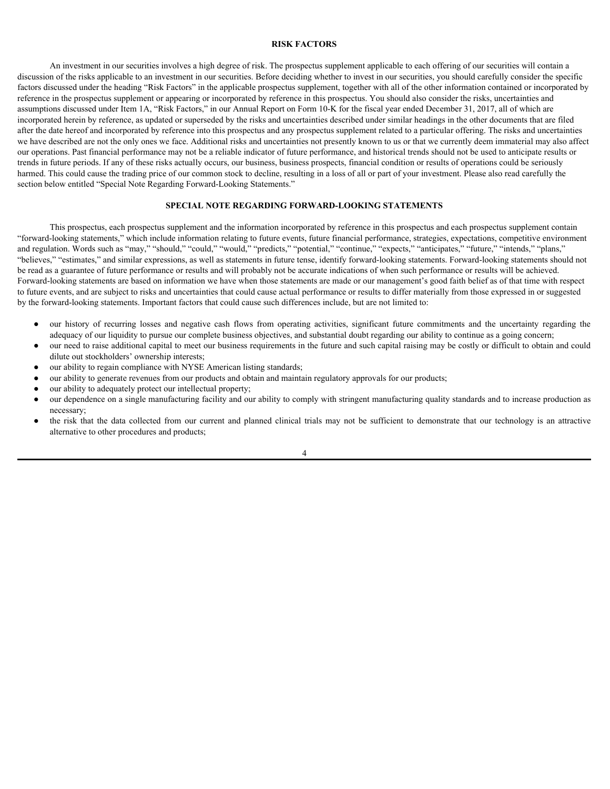#### <span id="page-27-0"></span>**RISK FACTORS**

An investment in our securities involves a high degree of risk. The prospectus supplement applicable to each offering of our securities will contain a discussion of the risks applicable to an investment in our securities. Before deciding whether to invest in our securities, you should carefully consider the specific factors discussed under the heading "Risk Factors" in the applicable prospectus supplement, together with all of the other information contained or incorporated by reference in the prospectus supplement or appearing or incorporated by reference in this prospectus. You should also consider the risks, uncertainties and assumptions discussed under Item 1A, "Risk Factors," in our Annual Report on Form 10-K for the fiscal year ended December 31, 2017, all of which are incorporated herein by reference, as updated or superseded by the risks and uncertainties described under similar headings in the other documents that are filed after the date hereof and incorporated by reference into this prospectus and any prospectus supplement related to a particular offering. The risks and uncertainties we have described are not the only ones we face. Additional risks and uncertainties not presently known to us or that we currently deem immaterial may also affect our operations. Past financial performance may not be a reliable indicator of future performance, and historical trends should not be used to anticipate results or trends in future periods. If any of these risks actually occurs, our business, business prospects, financial condition or results of operations could be seriously harmed. This could cause the trading price of our common stock to decline, resulting in a loss of all or part of your investment. Please also read carefully the section below entitled "Special Note Regarding Forward-Looking Statements." **EXERCIONS**<br> **EXERCIONS**<br> **EXERCIONS**<br> **EXERCIONS**<br> **EXERCIONS**<br> **EXERCIONS**<br> **EXERCIONS**<br> **EXERCISE THE CONSULTER CONSULTER CONSULTER CONSULTER CONSULTER ACTIVITY OF THE CONSULTER CONSULTER CONSULTER CONSULTER CONSULTER** such the proposes amplement one operator of interpret in the proposes in this proposes. You should also consider the interpret in the planned by the risk of the collected from the planned by the summinities decompositive i

#### <span id="page-27-1"></span>**SPECIAL NOTE REGARDING FORWARD-LOOKING STATEMENTS**

This prospectus, each prospectus supplement and the information incorporated by reference in this prospectus and each prospectus supplement contain "forward-looking statements," which include information relating to future events, future financial performance, strategies, expectations, competitive environment and regulation. Words such as "may," "should," "could," "would," "predicts," "potential," "continue," "expects," "anticipates," "future," "intends," "plans," "believes," "estimates," and similar expressions, as well as statements in future tense, identify forward-looking statements. Forward-looking statements should not be read as a guarantee of future performance or results and will probably not be accurate indications of when such performance or results will be achieved. Forward-looking statements are based on information we have when those statements are made or our management's good faith belief as of that time with respect to future events, and are subject to risks and uncertainties that could cause actual performance or results to differ materially from those expressed in or suggested by the forward-looking statements. Important factors that could cause such differences include, but are not limited to:

- adequacy of our liquidity to pursue our complete business objectives, and substantial doubt regarding our ability to continue as a going concern;
- our need to raise additional capital to meet our business requirements in the future and such capital raising may be costly or difficult to obtain and could dilute out stockholders' ownership interests;
- our ability to regain compliance with NYSE American listing standards;
- our ability to generate revenues from our products and obtain and maintain regulatory approvals for our products;
- our ability to adequately protect our intellectual property;
- our dependence on a single manufacturing facility and our ability to comply with stringent manufacturing quality standards and to increase production as necessary;
- alternative to other procedures and products;

4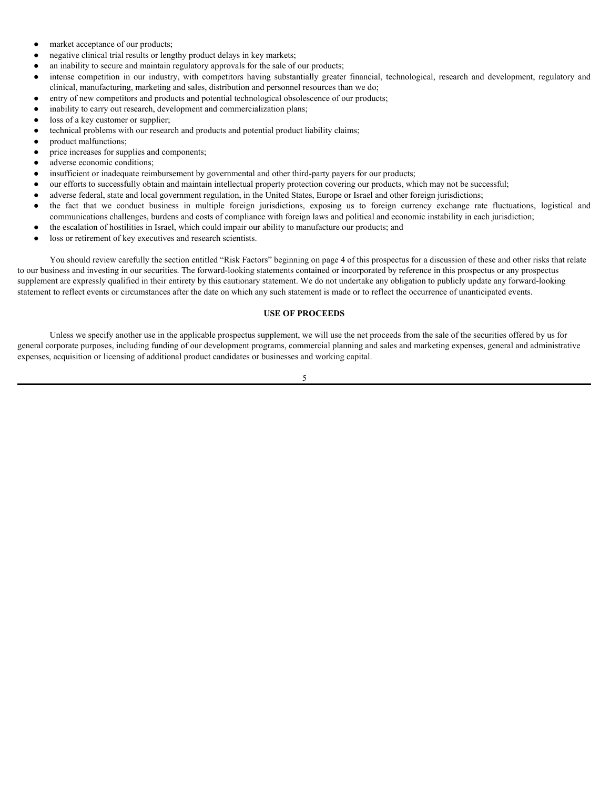- market acceptance of our products;
- negative clinical trial results or lengthy product delays in key markets;
- an inability to secure and maintain regulatory approvals for the sale of our products;
- market acceptance of our products;<br>
 negative clinical trial results or lengthy product delays in key markets;<br>
 an mability to secure and maintar regulatory approvals for the side of our products;<br>
intense competitio clinical, manufacturing, marketing and sales, distribution and personnel resources than we do;
- entry of new competitors and products and potential technological obsolescence of our products;
- inability to carry out research, development and commercialization plans;
- loss of a key customer or supplier;
- technical problems with our research and products and potential product liability claims;
- product malfunctions;
- price increases for supplies and components;
- adverse economic conditions;
- insufficient or inadequate reimbursement by governmental and other third-party payers for our products;
- our efforts to successfully obtain and maintain intellectual property protection covering our products, which may not be successful;
- adverse federal, state and local government regulation, in the United States, Europe or Israel and other foreign jurisdictions;
- communications challenges, burdens and costs of compliance with foreign laws and political and economic instability in each jurisdiction;
- the escalation of hostilities in Israel, which could impair our ability to manufacture our products; and
- loss or retirement of key executives and research scientists.

• market acceptance of our products;<br>• megative cluncal trial results or lengthy product delays in tey markets;<br>• multiple yo second multimle regulatory approach so the sulce of our products;<br>• multiple to compute the mu You should review carefully the section entitled "Risk Factors" beginning on page 4 of this prospectus for a discussion of these and other risks that relate to our business and investing in our securities. The forward-looking statements contained or incorporated by reference in this prospectus or any prospectus supplement are expressly qualified in their entirety by this cautionary statement. We do not undertake any obligation to publicly update any forward-looking statement to reflect events or circumstances after the date on which any such statement is made or to reflect the occurrence of unanticipated events.

#### <span id="page-28-0"></span>**USE OF PROCEEDS**

Unless we specify another use in the applicable prospectus supplement, we will use the net proceeds from the sale of the securities offered by us for general corporate purposes, including funding of our development programs, commercial planning and sales and marketing expenses, general and administrative expenses, acquisition or licensing of additional product candidates or businesses and working capital.

5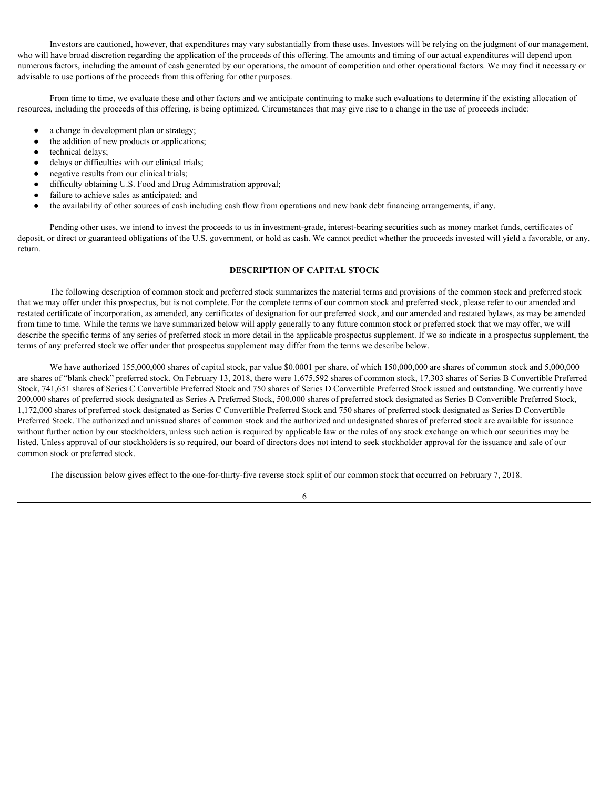Investors are cautioned, however, that expenditures may vary substantially from these uses. Investors will be relying on the judgment of our management, who will have broad discretion regarding the application of the proceeds of this offering. The amounts and timing of our actual expenditures will depend upon numerous factors, including the amount of cash generated by our operations, the amount of competition and other operational factors. We may find it necessary or advisable to use portions of the proceeds from this offering for other purposes.

From time to time, we evaluate these and other factors and we anticipate continuing to make such evaluations to determine if the existing allocation of resources, including the proceeds of this offering, is being optimized. Circumstances that may give rise to a change in the use of proceeds include:

- a change in development plan or strategy;
- the addition of new products or applications;
- technical delays;
- delays or difficulties with our clinical trials;
- negative results from our clinical trials;
- difficulty obtaining U.S. Food and Drug Administration approval;
- failure to achieve sales as anticipated; and
- the availability of other sources of cash including cash flow from operations and new bank debt financing arrangements, if any.

Pending other uses, we intend to invest the proceeds to us in investment-grade, interest-bearing securities such as money market funds, certificates of deposit, or direct or guaranteed obligations of the U.S. government, or hold as cash. We cannot predict whether the proceeds invested will yield a favorable, or any, return.

#### <span id="page-29-0"></span>**DESCRIPTION OF CAPITAL STOCK**

The following description of common stock and preferred stock summarizes the material terms and provisions of the common stock and preferred stock that we may offer under this prospectus, but is not complete. For the complete terms of our common stock and preferred stock, please refer to our amended and restated certificate of incorporation, as amended, any certificates of designation for our preferred stock, and our amended and restated bylaws, as may be amended from time to time. While the terms we have summarized below will apply generally to any future common stock or preferred stock that we may offer, we will describe the specific terms of any series of preferred stock in more detail in the applicable prospectus supplement. If we so indicate in a prospectus supplement, the terms of any preferred stock we offer under that prospectus supplement may differ from the terms we describe below.

We have authorized 155,000,000 shares of capital stock, par value \$0.0001 per share, of which 150,000,000 are shares of common stock and 5,000,000 are shares of "blank check" preferred stock. On February 13, 2018, there were 1,675,592 shares of common stock, 17,303 shares of Series B Convertible Preferred Stock, 741,651 shares of Series C Convertible Preferred Stock and 750 shares of Series D Convertible Preferred Stock issued and outstanding. We currently have 200,000 shares of preferred stock designated as Series A Preferred Stock, 500,000 shares of preferred stock designated as Series B Convertible Preferred Stock, 1,172,000 shares of preferred stock designated as Series C Convertible Preferred Stock and 750 shares of preferred stock designated as Series D Convertible Preferred Stock. The authorized and unissued shares of common stock and the authorized and undesignated shares of preferred stock are available for issuance without further action by our stockholders, unless such action is required by applicable law or the rules of any stock exchange on which our securities may be listed. Unless approval of our stockholders is so required, our board of directors does not intend to seek stockholder approval for the issuance and sale of our common stock or preferred stock.

The discussion below gives effect to the one-for-thirty-five reverse stock split of our common stock that occurred on February 7, 2018.

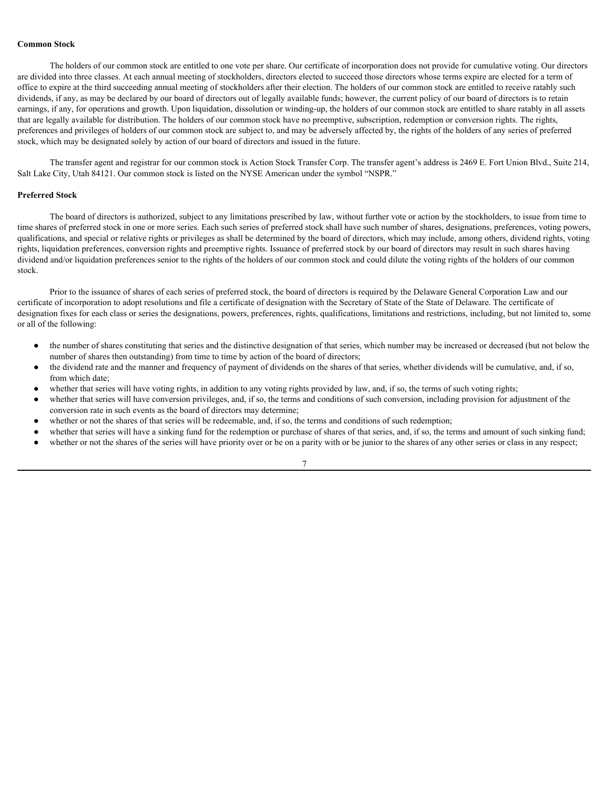#### **Common Stock**

The holders of our common stock are entitled to one vote per share. Our certificate of incorporation does not provide for cumulative voting. Our directors are divided into three classes. At each annual meeting of stockholders, directors elected to succeed those directors whose terms expire are elected for a term of office to expire at the third succeeding annual meeting of stockholders after their election. The holders of our common stock are entitled to receive ratably such dividends, if any, as may be declared by our board of directors out of legally available funds; however, the current policy of our board of directors is to retain earnings, if any, for operations and growth. Upon liquidation, dissolution or winding-up, the holders of our common stock are entitled to share ratably in all assets that are legally available for distribution. The holders of our common stock have no preemptive, subscription, redemption or conversion rights. The rights, preferences and privileges of holders of our common stock are subject to, and may be adversely affected by, the rights of the holders of any series of preferred stock, which may be designated solely by action of our board of directors and issued in the future.

The transfer agent and registrar for our common stock is Action Stock Transfer Corp. The transfer agent's address is 2469 E. Fort Union Blvd., Suite 214, Salt Lake City, Utah 84121. Our common stock is listed on the NYSE American under the symbol "NSPR."

#### **Preferred Stock**

The board of directors is authorized, subject to any limitations prescribed by law, without further vote or action by the stockholders, to issue from time to time shares of preferred stock in one or more series. Each such series of preferred stock shall have such number of shares, designations, preferences, voting powers, qualifications, and special or relative rights or privileges as shall be determined by the board of directors, which may include, among others, dividend rights, voting rights, liquidation preferences, conversion rights and preemptive rights. Issuance of preferred stock by our board of directors may result in such shares having dividend and/or liquidation preferences senior to the rights of the holders of our common stock and could dilute the voting rights of the holders of our common stock.

Prior to the issuance of shares of each series of preferred stock, the board of directors is required by the Delaware General Corporation Law and our certificate of incorporation to adopt resolutions and file a certificate of designation with the Secretary of State of the State of Delaware. The certificate of designation fixes for each class or series the designations, powers, preferences, rights, qualifications, limitations and restrictions, including, but not limited to, some or all of the following:

- the number of shares constituting that series and the distinctive designation of that series, which number may be increased or decreased (but not below the number of shares then outstanding) from time to time by action of the board of directors;
- the dividend rate and the manner and frequency of payment of dividends on the shares of that series, whether dividends will be cumulative, and, if so, from which date;
- whether that series will have voting rights, in addition to any voting rights provided by law, and, if so, the terms of such voting rights;
- whether that series will have conversion privileges, and, if so, the terms and conditions of such conversion, including provision for adjustment of the conversion rate in such events as the board of directors may determine;
- whether or not the shares of that series will be redeemable, and, if so, the terms and conditions of such redemption;
- whether that series will have a sinking fund for the redemption or purchase of shares of that series, and, if so, the terms and amount of such sinking fund;
- whether or not the shares of the series will have priority over or be on a parity with or be junior to the shares of any other series or class in any respect;

7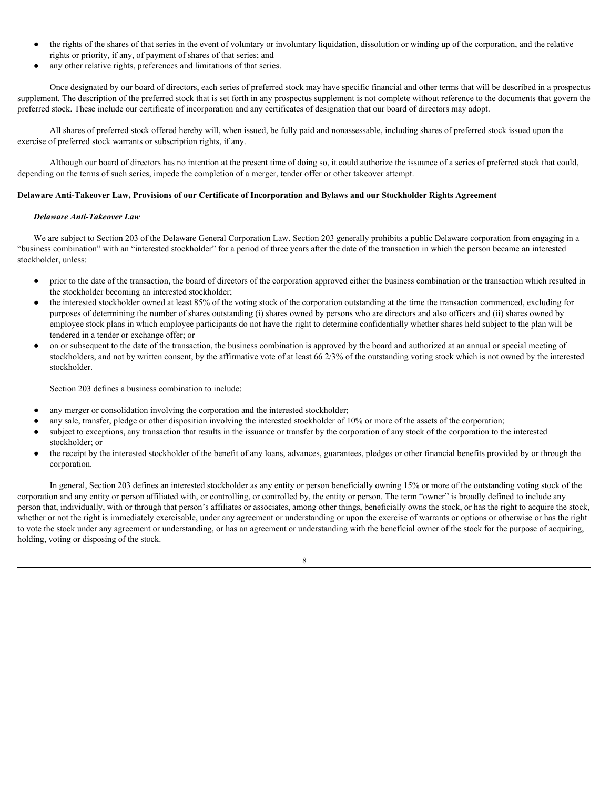- the rights of the shares of that series in the event of voluntary or involuntary liquidation, dissolution or winding up of the corporation, and the relative rights or priority, if any, of payment of shares of that series; and
- any other relative rights, preferences and limitations of that series.

Once designated by our board of directors, each series of preferred stock may have specific financial and other terms that will be described in a prospectus supplement. The description of the preferred stock that is set forth in any prospectus supplement is not complete without reference to the documents that govern the preferred stock. These include our certificate of incorporation and any certificates of designation that our board of directors may adopt.

All shares of preferred stock offered hereby will, when issued, be fully paid and nonassessable, including shares of preferred stock issued upon the exercise of preferred stock warrants or subscription rights, if any.

Although our board of directors has no intention at the present time of doing so, it could authorize the issuance of a series of preferred stock that could, depending on the terms of such series, impede the completion of a merger, tender offer or other takeover attempt.

#### **Delaware Anti-Takeover Law, Provisions of our Certificate of Incorporation and Bylaws and our Stockholder Rights Agreement**

#### *Delaware Anti-Takeover Law*

We are subject to Section 203 of the Delaware General Corporation Law. Section 203 generally prohibits a public Delaware corporation from engaging in a "business combination" with an "interested stockholder" for a period of three years after the date of the transaction in which the person became an interested stockholder, unless:

- prior to the date of the transaction, the board of directors of the corporation approved either the business combination or the transaction which resulted in the stockholder becoming an interested stockholder;
- the interested stockholder owned at least 85% of the voting stock of the corporation outstanding at the time the transaction commenced, excluding for purposes of determining the number of shares outstanding (i) shares owned by persons who are directors and also officers and (ii) shares owned by employee stock plans in which employee participants do not have the right to determine confidentially whether shares held subject to the plan will be tendered in a tender or exchange offer; or
- on or subsequent to the date of the transaction, the business combination is approved by the board and authorized at an annual or special meeting of stockholders, and not by written consent, by the affirmative vote of at least 66 2/3% of the outstanding voting stock which is not owned by the interested stockholder.

Section 203 defines a business combination to include:

- any merger or consolidation involving the corporation and the interested stockholder;
- any sale, transfer, pledge or other disposition involving the interested stockholder of 10% or more of the assets of the corporation;
- subject to exceptions, any transaction that results in the issuance or transfer by the corporation of any stock of the corporation to the interested stockholder; or
- the receipt by the interested stockholder of the benefit of any loans, advances, guarantees, pledges or other financial benefits provided by or through the corporation.

In general, Section 203 defines an interested stockholder as any entity or person beneficially owning 15% or more of the outstanding voting stock of the corporation and any entity or person affiliated with, or controlling, or controlled by, the entity or person. The term "owner" is broadly defined to include any person that, individually, with or through that person's affiliates or associates, among other things, beneficially owns the stock, or has the right to acquire the stock, whether or not the right is immediately exercisable, under any agreement or understanding or upon the exercise of warrants or options or otherwise or has the right to vote the stock under any agreement or understanding, or has an agreement or understanding with the beneficial owner of the stock for the purpose of acquiring, holding, voting or disposing of the stock.

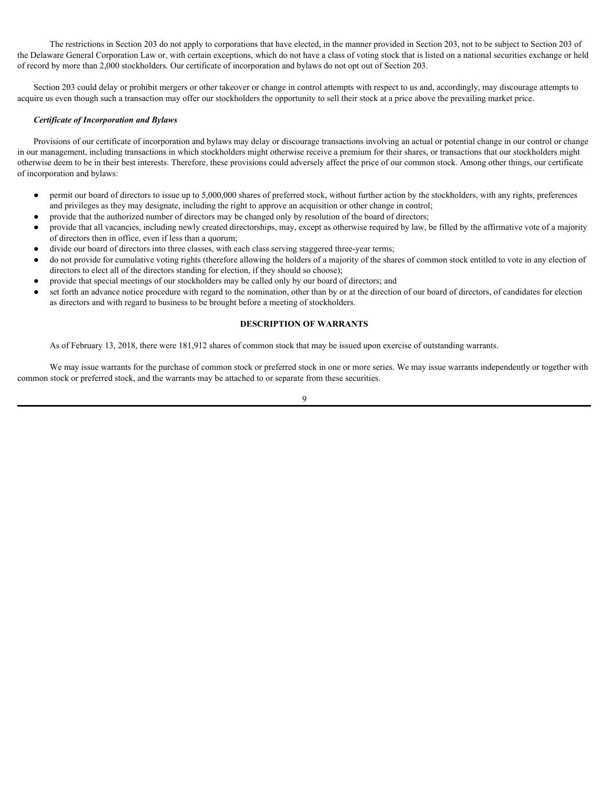The restrictions in Section 203 do not apply to corporations that have elected, in the manner provided in Section 203, not to be subject to Section 203 of the Delaware General Corporation Law or, with certain exceptions, which do not have a class of voting stock that is listed on a national securities exchange or held of record by more than 2,000 stockholders. Our certificate of incorporation and bylaws do not opt out of Section 203.

Section 203 could delay or prohibit mergers or other takeover or change in control attempts with respect to us and, accordingly, may discourage attempts to acquire us even though such a transaction may offer our stockholders the opportunity to sell their stock at a price above the prevailing market price.

#### *Certificate of Incorporation and Bylaws*

Provisions of our certificate of incorporation and bylaws may delay or discourage transactions involving an actual or potential change in our control or change in our management, including transactions in which stockholders might otherwise receive a premium for their shares, or transactions that our stockholders might otherwise deem to be in their best interests. Therefore, these provisions could adversely affect the price of our common stock. Among other things, our certificate of incorporation and bylaws:

- permit our board of directors to issue up to 5,000,000 shares of preferred stock, without further action by the stockholders, with any rights, preferences and privileges as they may designate, including the right to approve an acquisition or other change in control;
- provide that the authorized number of directors may be changed only by resolution of the board of directors;
- provide that all vacancies, including newly created directorships, may, except as otherwise required by law, be filled by the affirmative vote of a majority of directors then in office, even if less than a quorum;
- divide our board of directors into three classes, with each class serving staggered three-year terms;
- do not provide for cumulative voting rights (therefore allowing the holders of a majority of the shares of common stock entitled to vote in any election of directors to elect all of the directors standing for election, if they should so choose);
- provide that special meetings of our stockholders may be called only by our board of directors; and
- set forth an advance notice procedure with regard to the nomination, other than by or at the direction of our board of directors, of candidates for election as directors and with regard to business to be brought before a meeting of stockholders.

#### <span id="page-32-0"></span>**DESCRIPTION OF WARRANTS**

As of February 13, 2018, there were 181,912 shares of common stock that may be issued upon exercise of outstanding warrants.

We may issue warrants for the purchase of common stock or preferred stock in one or more series. We may issue warrants independently or together with common stock or preferred stock, and the warrants may be attached to or separate from these securities.

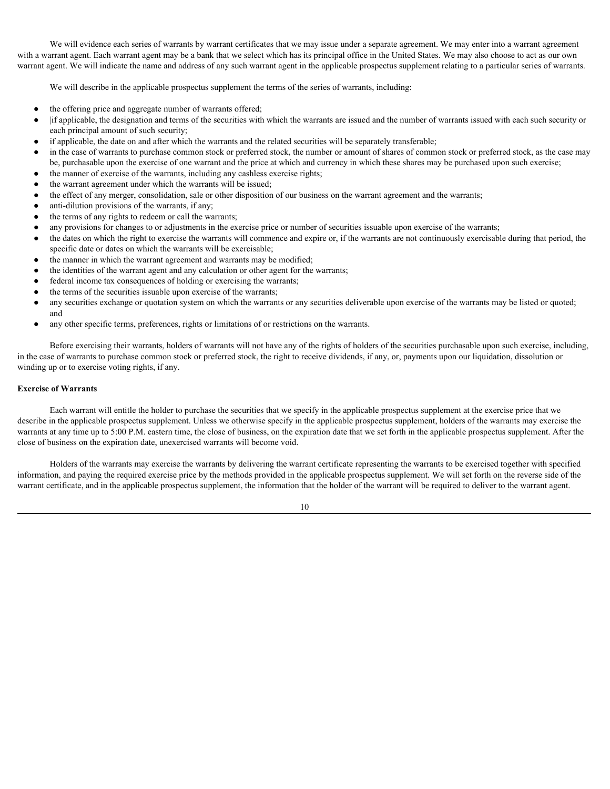We will evidence each series of warrants by warrant certificates that we may issue under a separate agreement. We may enter into a warrant agreement with a warrant agent. Each warrant agent may be a bank that we select which has its principal office in the United States. We may also choose to act as our own warrant agent. We will indicate the name and address of any such warrant agent in the applicable prospectus supplement relating to a particular series of warrants.

We will describe in the applicable prospectus supplement the terms of the series of warrants, including:

- the offering price and aggregate number of warrants offered;
- |if applicable, the designation and terms of the securities with which the warrants are issued and the number of warrants issued with each such security or each principal amount of such security;
- if applicable, the date on and after which the warrants and the related securities will be separately transferable;
- in the case of warrants to purchase common stock or preferred stock, the number or amount of shares of common stock or preferred stock, as the case may be, purchasable upon the exercise of one warrant and the price at which and currency in which these shares may be purchased upon such exercise;
- the manner of exercise of the warrants, including any cashless exercise rights;
- the warrant agreement under which the warrants will be issued;
- the effect of any merger, consolidation, sale or other disposition of our business on the warrant agreement and the warrants;
- anti-dilution provisions of the warrants, if any;
- the terms of any rights to redeem or call the warrants;
- any provisions for changes to or adjustments in the exercise price or number of securities issuable upon exercise of the warrants;
- the dates on which the right to exercise the warrants will commence and expire or, if the warrants are not continuously exercisable during that period, the specific date or dates on which the warrants will be exercisable;
- the manner in which the warrant agreement and warrants may be modified;
- the identities of the warrant agent and any calculation or other agent for the warrants;
- federal income tax consequences of holding or exercising the warrants;
- the terms of the securities issuable upon exercise of the warrants;
- any securities exchange or quotation system on which the warrants or any securities deliverable upon exercise of the warrants may be listed or quoted; and
- any other specific terms, preferences, rights or limitations of or restrictions on the warrants.

Before exercising their warrants, holders of warrants will not have any of the rights of holders of the securities purchasable upon such exercise, including, in the case of warrants to purchase common stock or preferred stock, the right to receive dividends, if any, or, payments upon our liquidation, dissolution or winding up or to exercise voting rights, if any.

#### **Exercise of Warrants**

Each warrant will entitle the holder to purchase the securities that we specify in the applicable prospectus supplement at the exercise price that we describe in the applicable prospectus supplement. Unless we otherwise specify in the applicable prospectus supplement, holders of the warrants may exercise the warrants at any time up to 5:00 P.M. eastern time, the close of business, on the expiration date that we set forth in the applicable prospectus supplement. After the close of business on the expiration date, unexercised warrants will become void.

Holders of the warrants may exercise the warrants by delivering the warrant certificate representing the warrants to be exercised together with specified information, and paying the required exercise price by the methods provided in the applicable prospectus supplement. We will set forth on the reverse side of the warrant certificate, and in the applicable prospectus supplement, the information that the holder of the warrant will be required to deliver to the warrant agent.

10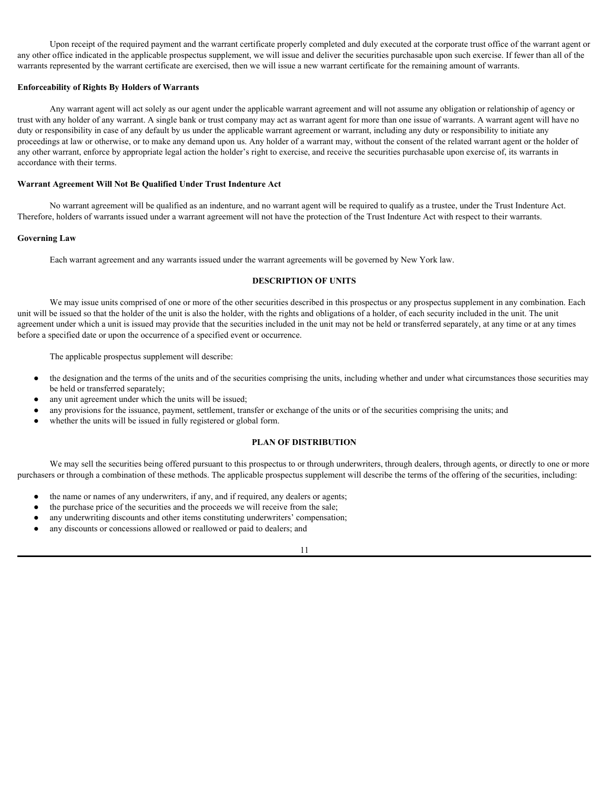Upon receipt of the required payment and the warrant certificate properly completed and duly executed at the corporate trust office of the warrant agent or any other office indicated in the applicable prospectus supplement, we will issue and deliver the securities purchasable upon such exercise. If fewer than all of the warrants represented by the warrant certificate are exercised, then we will issue a new warrant certificate for the remaining amount of warrants.

#### **Enforceability of Rights By Holders of Warrants**

Any warrant agent will act solely as our agent under the applicable warrant agreement and will not assume any obligation or relationship of agency or trust with any holder of any warrant. A single bank or trust company may act as warrant agent for more than one issue of warrants. A warrant agent will have no duty or responsibility in case of any default by us under the applicable warrant agreement or warrant, including any duty or responsibility to initiate any proceedings at law or otherwise, or to make any demand upon us. Any holder of a warrant may, without the consent of the related warrant agent or the holder of any other warrant, enforce by appropriate legal action the holder's right to exercise, and receive the securities purchasable upon exercise of, its warrants in accordance with their terms.

#### **Warrant Agreement Will Not Be Qualified Under Trust Indenture Act**

No warrant agreement will be qualified as an indenture, and no warrant agent will be required to qualify as a trustee, under the Trust Indenture Act. Therefore, holders of warrants issued under a warrant agreement will not have the protection of the Trust Indenture Act with respect to their warrants.

#### **Governing Law**

Each warrant agreement and any warrants issued under the warrant agreements will be governed by New York law.

#### <span id="page-34-0"></span>**DESCRIPTION OF UNITS**

We may issue units comprised of one or more of the other securities described in this prospectus or any prospectus supplement in any combination. Each unit will be issued so that the holder of the unit is also the holder, with the rights and obligations of a holder, of each security included in the unit. The unit agreement under which a unit is issued may provide that the securities included in the unit may not be held or transferred separately, at any time or at any times before a specified date or upon the occurrence of a specified event or occurrence.

The applicable prospectus supplement will describe:

- the designation and the terms of the units and of the securities comprising the units, including whether and under what circumstances those securities may be held or transferred separately;
- any unit agreement under which the units will be issued;
- any provisions for the issuance, payment, settlement, transfer or exchange of the units or of the securities comprising the units; and
- whether the units will be issued in fully registered or global form.

#### <span id="page-34-1"></span>**PLAN OF DISTRIBUTION**

We may sell the securities being offered pursuant to this prospectus to or through underwriters, through dealers, through agents, or directly to one or more purchasers or through a combination of these methods. The applicable prospectus supplement will describe the terms of the offering of the securities, including:

- the name or names of any underwriters, if any, and if required, any dealers or agents;
- the purchase price of the securities and the proceeds we will receive from the sale;
- any underwriting discounts and other items constituting underwriters' compensation;
- any discounts or concessions allowed or reallowed or paid to dealers; and

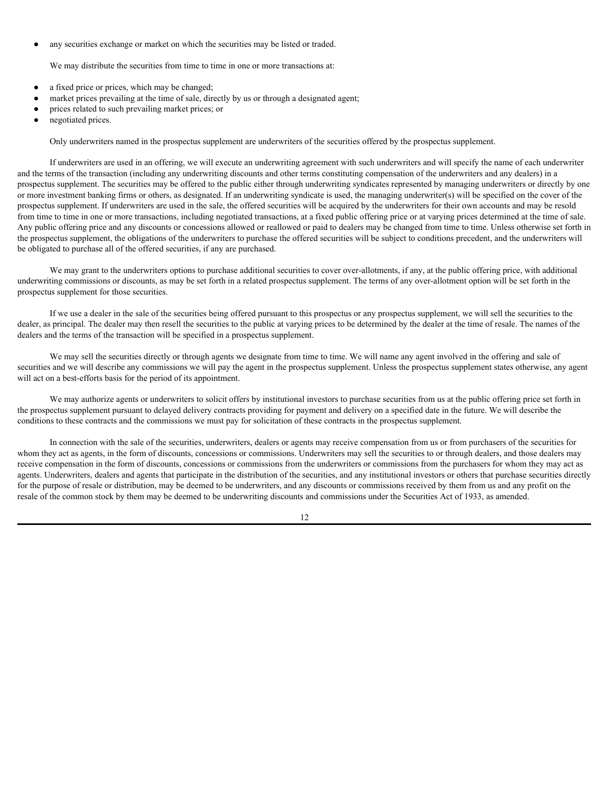any securities exchange or market on which the securities may be listed or traded.

We may distribute the securities from time to time in one or more transactions at:

- a fixed price or prices, which may be changed;
- market prices prevailing at the time of sale, directly by us or through a designated agent;
- prices related to such prevailing market prices; or
- negotiated prices.

Only underwriters named in the prospectus supplement are underwriters of the securities offered by the prospectus supplement.

If underwriters are used in an offering, we will execute an underwriting agreement with such underwriters and will specify the name of each underwriter and the terms of the transaction (including any underwriting discounts and other terms constituting compensation of the underwriters and any dealers) in a prospectus supplement. The securities may be offered to the public either through underwriting syndicates represented by managing underwriters or directly by one or more investment banking firms or others, as designated. If an underwriting syndicate is used, the managing underwriter(s) will be specified on the cover of the prospectus supplement. If underwriters are used in the sale, the offered securities will be acquired by the underwriters for their own accounts and may be resold from time to time in one or more transactions, including negotiated transactions, at a fixed public offering price or at varying prices determined at the time of sale. Any public offering price and any discounts or concessions allowed or reallowed or paid to dealers may be changed from time to time. Unless otherwise set forth in the prospectus supplement, the obligations of the underwriters to purchase the offered securities will be subject to conditions precedent, and the underwriters will be obligated to purchase all of the offered securities, if any are purchased.

We may grant to the underwriters options to purchase additional securities to cover over-allotments, if any, at the public offering price, with additional underwriting commissions or discounts, as may be set forth in a related prospectus supplement. The terms of any over-allotment option will be set forth in the prospectus supplement for those securities.

If we use a dealer in the sale of the securities being offered pursuant to this prospectus or any prospectus supplement, we will sell the securities to the dealer, as principal. The dealer may then resell the securities to the public at varying prices to be determined by the dealer at the time of resale. The names of the dealers and the terms of the transaction will be specified in a prospectus supplement.

We may sell the securities directly or through agents we designate from time to time. We will name any agent involved in the offering and sale of securities and we will describe any commissions we will pay the agent in the prospectus supplement. Unless the prospectus supplement states otherwise, any agent will act on a best-efforts basis for the period of its appointment.

We may authorize agents or underwriters to solicit offers by institutional investors to purchase securities from us at the public offering price set forth in the prospectus supplement pursuant to delayed delivery contracts providing for payment and delivery on a specified date in the future. We will describe the conditions to these contracts and the commissions we must pay for solicitation of these contracts in the prospectus supplement.

In connection with the sale of the securities, underwriters, dealers or agents may receive compensation from us or from purchasers of the securities for whom they act as agents, in the form of discounts, concessions or commissions. Underwriters may sell the securities to or through dealers, and those dealers may receive compensation in the form of discounts, concessions or commissions from the underwriters or commissions from the purchasers for whom they may act as agents. Underwriters, dealers and agents that participate in the distribution of the securities, and any institutional investors or others that purchase securities directly for the purpose of resale or distribution, may be deemed to be underwriters, and any discounts or commissions received by them from us and any profit on the resale of the common stock by them may be deemed to be underwriting discounts and commissions under the Securities Act of 1933, as amended.

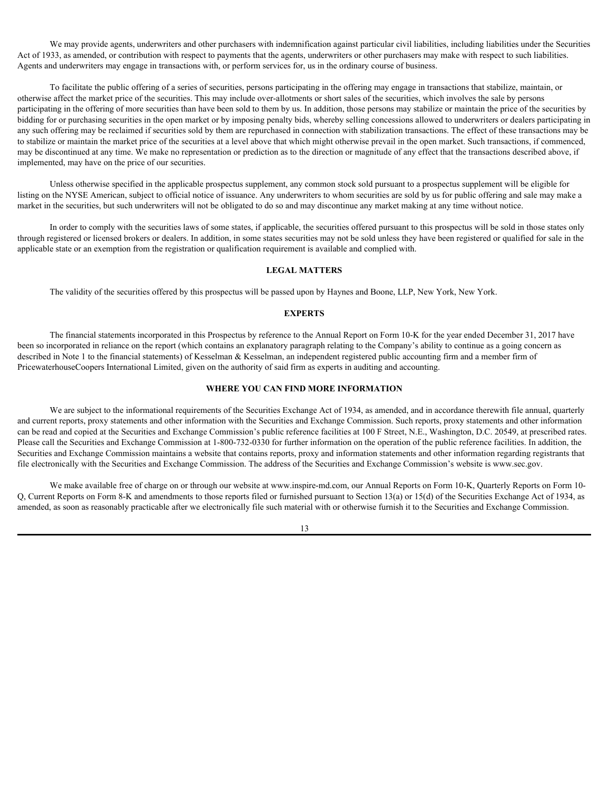We may provide agents, underwriters and other purchasers with indemnification against particular civil liabilities, including liabilities under the Securities Act of 1933, as amended, or contribution with respect to payments that the agents, underwriters or other purchasers may make with respect to such liabilities. Agents and underwriters may engage in transactions with, or perform services for, us in the ordinary course of business.

To facilitate the public offering of a series of securities, persons participating in the offering may engage in transactions that stabilize, maintain, or otherwise affect the market price of the securities. This may include over-allotments or short sales of the securities, which involves the sale by persons participating in the offering of more securities than have been sold to them by us. In addition, those persons may stabilize or maintain the price of the securities by bidding for or purchasing securities in the open market or by imposing penalty bids, whereby selling concessions allowed to underwriters or dealers participating in any such offering may be reclaimed if securities sold by them are repurchased in connection with stabilization transactions. The effect of these transactions may be to stabilize or maintain the market price of the securities at a level above that which might otherwise prevail in the open market. Such transactions, if commenced, may be discontinued at any time. We make no representation or prediction as to the direction or magnitude of any effect that the transactions described above, if implemented, may have on the price of our securities.

Unless otherwise specified in the applicable prospectus supplement, any common stock sold pursuant to a prospectus supplement will be eligible for listing on the NYSE American, subject to official notice of issuance. Any underwriters to whom securities are sold by us for public offering and sale may make a market in the securities, but such underwriters will not be obligated to do so and may discontinue any market making at any time without notice.

In order to comply with the securities laws of some states, if applicable, the securities offered pursuant to this prospectus will be sold in those states only through registered or licensed brokers or dealers. In addition, in some states securities may not be sold unless they have been registered or qualified for sale in the applicable state or an exemption from the registration or qualification requirement is available and complied with.

#### <span id="page-36-0"></span>**LEGAL MATTERS**

The validity of the securities offered by this prospectus will be passed upon by Haynes and Boone, LLP, New York, New York.

#### <span id="page-36-1"></span>**EXPERTS**

The financial statements incorporated in this Prospectus by reference to the Annual Report on Form 10-K for the year ended December 31, 2017 have been so incorporated in reliance on the report (which contains an explanatory paragraph relating to the Company's ability to continue as a going concern as described in Note 1 to the financial statements) of Kesselman & Kesselman, an independent registered public accounting firm and a member firm of PricewaterhouseCoopers International Limited, given on the authority of said firm as experts in auditing and accounting.

#### <span id="page-36-2"></span>**WHERE YOU CAN FIND MORE INFORMATION**

We are subject to the informational requirements of the Securities Exchange Act of 1934, as amended, and in accordance therewith file annual, quarterly and current reports, proxy statements and other information with the Securities and Exchange Commission. Such reports, proxy statements and other information can be read and copied at the Securities and Exchange Commission's public reference facilities at 100 F Street, N.E., Washington, D.C. 20549, at prescribed rates. Please call the Securities and Exchange Commission at 1-800-732-0330 for further information on the operation of the public reference facilities. In addition, the Securities and Exchange Commission maintains a website that contains reports, proxy and information statements and other information regarding registrants that file electronically with the Securities and Exchange Commission. The address of the Securities and Exchange Commission's website is www.sec.gov.

We make available free of charge on or through our website at www.inspire-md.com, our Annual Reports on Form 10-K, Quarterly Reports on Form 10- Q, Current Reports on Form 8-K and amendments to those reports filed or furnished pursuant to Section 13(a) or 15(d) of the Securities Exchange Act of 1934, as amended, as soon as reasonably practicable after we electronically file such material with or otherwise furnish it to the Securities and Exchange Commission.

13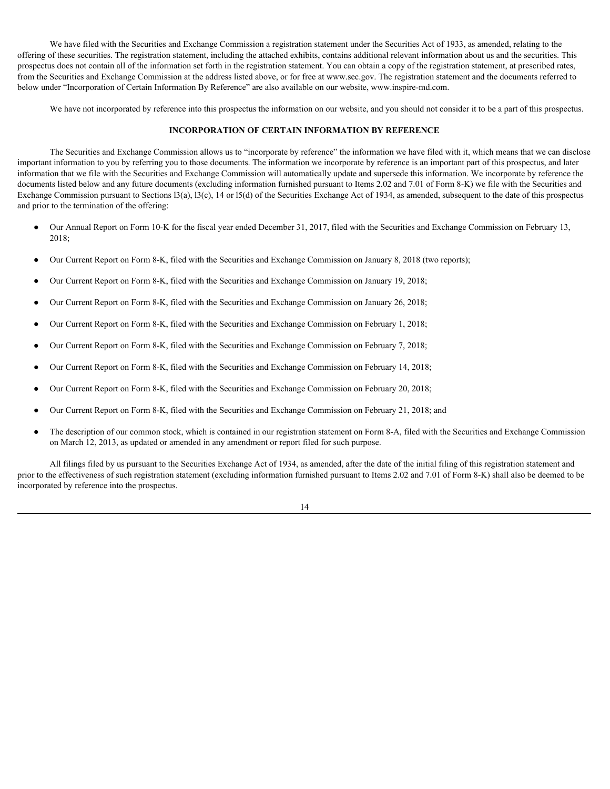We have filed with the Securities and Exchange Commission a registration statement under the Securities Act of 1933, as amended, relating to the offering of these securities. The registration statement, including the attached exhibits, contains additional relevant information about us and the securities. This prospectus does not contain all of the information set forth in the registration statement. You can obtain a copy of the registration statement, at prescribed rates, from the Securities and Exchange Commission at the address listed above, or for free at www.sec.gov. The registration statement and the documents referred to below under "Incorporation of Certain Information By Reference" are also available on our website, www.inspire-md.com.

We have not incorporated by reference into this prospectus the information on our website, and you should not consider it to be a part of this prospectus.

#### <span id="page-37-0"></span>**INCORPORATION OF CERTAIN INFORMATION BY REFERENCE**

The Securities and Exchange Commission allows us to "incorporate by reference" the information we have filed with it, which means that we can disclose important information to you by referring you to those documents. The information we incorporate by reference is an important part of this prospectus, and later information that we file with the Securities and Exchange Commission will automatically update and supersede this information. We incorporate by reference the documents listed below and any future documents (excluding information furnished pursuant to Items 2.02 and 7.01 of Form 8-K) we file with the Securities and Exchange Commission pursuant to Sections 13(a), 13(c), 14 or 15(d) of the Securities Exchange Act of 1934, as amended, subsequent to the date of this prospectus and prior to the termination of the offering:

- Our Annual Report on Form 10-K for the fiscal year ended December 31, 2017, filed with the Securities and Exchange Commission on February 13, 2018;
- Our Current Report on Form 8-K, filed with the Securities and Exchange Commission on January 8, 2018 (two reports);
- Our Current Report on Form 8-K, filed with the Securities and Exchange Commission on January 19, 2018;
- Our Current Report on Form 8-K, filed with the Securities and Exchange Commission on January 26, 2018;
- Our Current Report on Form 8-K, filed with the Securities and Exchange Commission on February 1, 2018;
- Our Current Report on Form 8-K, filed with the Securities and Exchange Commission on February 7, 2018;
- Our Current Report on Form 8-K, filed with the Securities and Exchange Commission on February 14, 2018;
- Our Current Report on Form 8-K, filed with the Securities and Exchange Commission on February 20, 2018;
- Our Current Report on Form 8-K, filed with the Securities and Exchange Commission on February 21, 2018; and
- The description of our common stock, which is contained in our registration statement on Form 8-A, filed with the Securities and Exchange Commission on March 12, 2013, as updated or amended in any amendment or report filed for such purpose.

All filings filed by us pursuant to the Securities Exchange Act of 1934, as amended, after the date of the initial filing of this registration statement and prior to the effectiveness of such registration statement (excluding information furnished pursuant to Items 2.02 and 7.01 of Form 8-K) shall also be deemed to be incorporated by reference into the prospectus.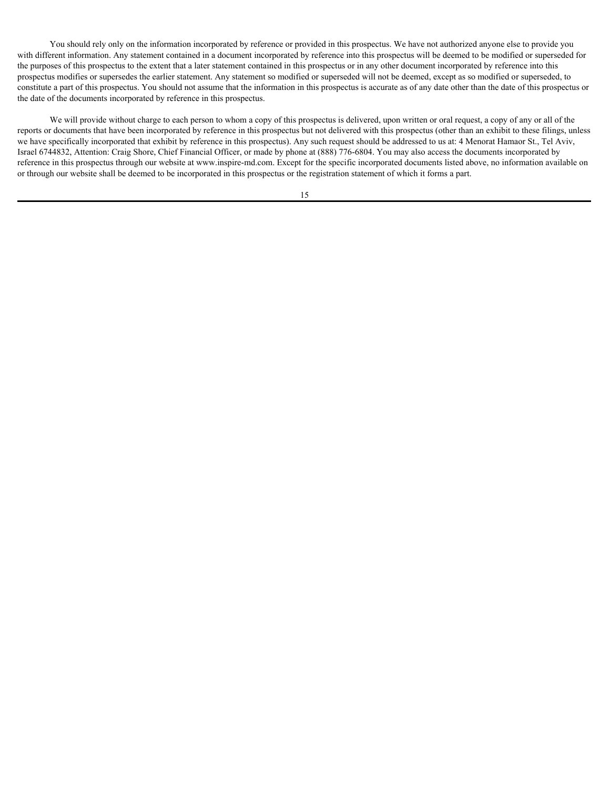You should rely only on the information incorporated by reference or provided in this prospectus. We have not authorized anyone else to provide you with different information. Any statement contained in a document incorporated by reference into this prospectus will be deemed to be modified or superseded for the purposes of this prospectus to the extent that a later statement contained in this prospectus or in any other document incorporated by reference into this prospectus modifies or supersedes the earlier statement. Any statement so modified or superseded will not be deemed, except as so modified or superseded, to constitute a part of this prospectus. You should not assume that the information in this prospectus is accurate as of any date other than the date of this prospectus or the date of the documents incorporated by reference in this prospectus.

We will provide without charge to each person to whom a copy of this prospectus is delivered, upon written or oral request, a copy of any or all of the reports or documents that have been incorporated by reference in this prospectus but not delivered with this prospectus (other than an exhibit to these filings, unless we have specifically incorporated that exhibit by reference in this prospectus). Any such request should be addressed to us at: 4 Menorat Hamaor St., Tel Aviv, Israel 6744832, Attention: Craig Shore, Chief Financial Officer, or made by phone at (888) 776-6804. You may also access the documents incorporated by reference in this prospectus through our website at www.inspire-md.com. Except for the specific incorporated documents listed above, no information available on or through our website shall be deemed to be incorporated in this prospectus or the registration statement of which it forms a part.

15